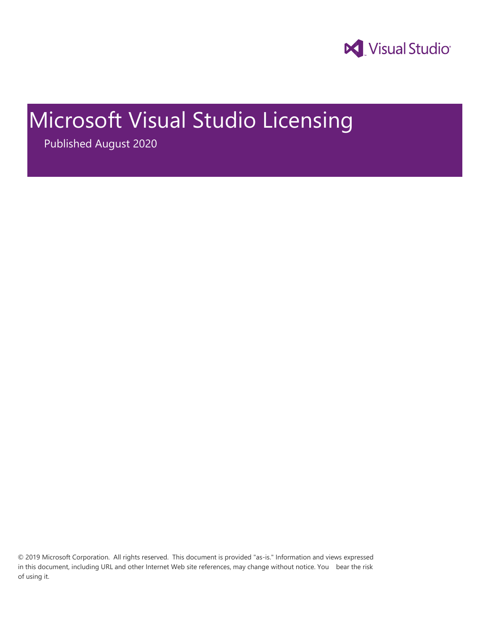

# Microsoft Visual Studio Licensing

Published August 2020

© 2019 Microsoft Corporation. All rights reserved. This document is provided "as-is." Information and views expressed in this document, including URL and other Internet Web site references, may change without notice. You bear the risk of using it.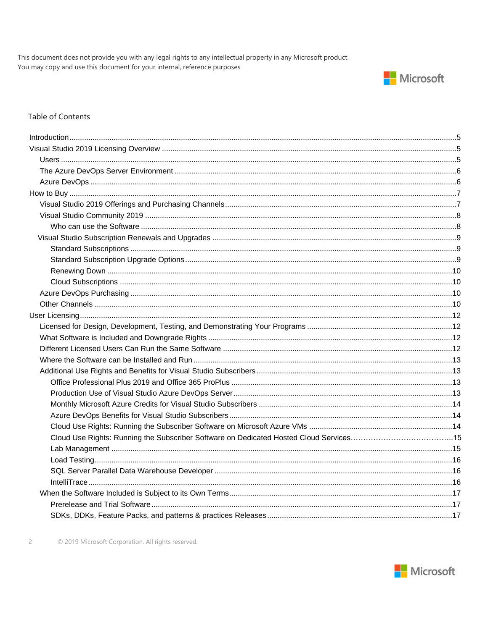This document does not provide you with any legal rights to any intellectual property in any Microsoft product. You may copy and use this document for your internal, reference purposes



#### Table of Contents

| Cloud Use Rights: Running the Subscriber Software on Dedicated Hosted Cloud Services15 |  |
|----------------------------------------------------------------------------------------|--|
|                                                                                        |  |
|                                                                                        |  |
|                                                                                        |  |
|                                                                                        |  |
|                                                                                        |  |
|                                                                                        |  |
|                                                                                        |  |

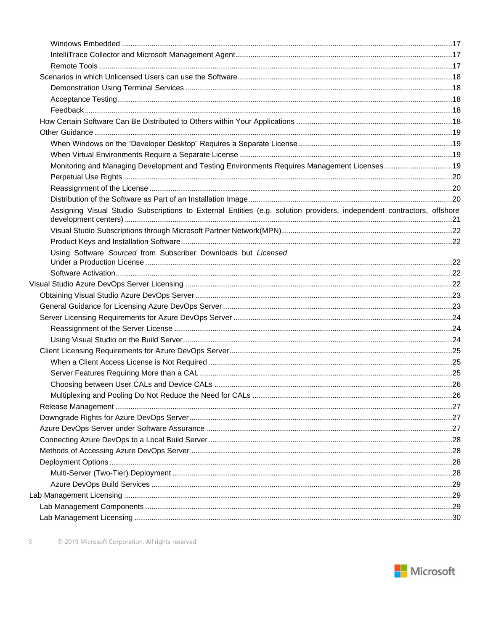| Monitoring and Managing Development and Testing Environments Requires Management Licenses 19                           |  |
|------------------------------------------------------------------------------------------------------------------------|--|
|                                                                                                                        |  |
|                                                                                                                        |  |
|                                                                                                                        |  |
| Assigning Visual Studio Subscriptions to External Entities (e.g. solution providers, independent contractors, offshore |  |
|                                                                                                                        |  |
|                                                                                                                        |  |
| Using Software Sourced from Subscriber Downloads but Licensed                                                          |  |
|                                                                                                                        |  |
|                                                                                                                        |  |
|                                                                                                                        |  |
|                                                                                                                        |  |
|                                                                                                                        |  |
|                                                                                                                        |  |
|                                                                                                                        |  |
|                                                                                                                        |  |
|                                                                                                                        |  |
|                                                                                                                        |  |
|                                                                                                                        |  |
|                                                                                                                        |  |
|                                                                                                                        |  |
|                                                                                                                        |  |
|                                                                                                                        |  |
|                                                                                                                        |  |
|                                                                                                                        |  |
|                                                                                                                        |  |
|                                                                                                                        |  |
|                                                                                                                        |  |
|                                                                                                                        |  |
|                                                                                                                        |  |
|                                                                                                                        |  |

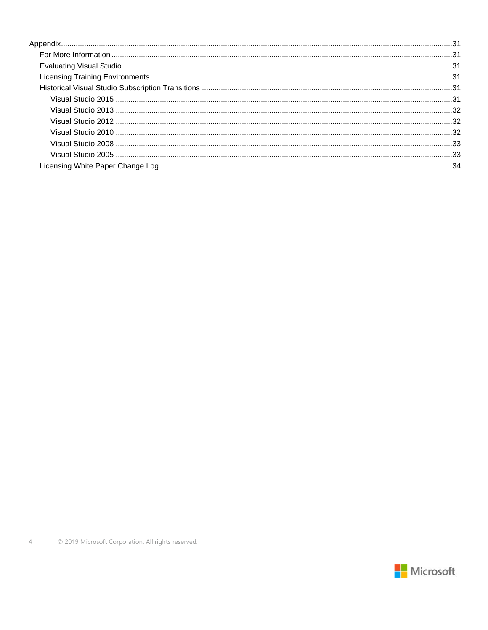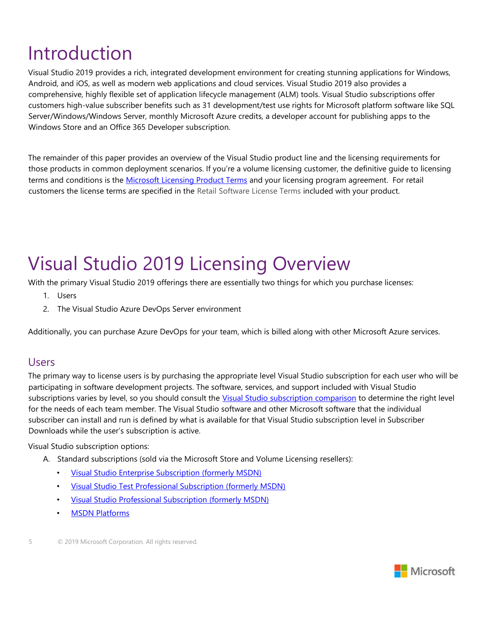# <span id="page-4-0"></span>Introduction

Visual Studio 2019 provides a rich, integrated development environment for creating stunning applications for Windows, Android, and iOS, as well as modern web applications and cloud services. Visual Studio 2019 also provides a comprehensive, highly flexible set of application lifecycle management (ALM) tools. Visual Studio subscriptions offer customers high-value subscriber benefits such as 31 development/test use rights for Microsoft platform software like SQL Server/Windows/Windows Server, monthly Microsoft Azure credits, a developer account for publishing apps to the Windows Store and an Office 365 Developer subscription.

The remainder of this paper provides an overview of the Visual Studio product line and the licensing requirements for those products in common deployment scenarios. If you're a volume licensing customer, the definitive guide to licensing terms and conditions is the [Microsoft Licensing Product Terms](http://www.microsoftvolumelicensing.com/userights/PUR.aspx) and your licensing program agreement. For retail customers the license terms are specified in the [Retail Software License Terms](http://www.microsoft.com/useterms/) included with your product.

# <span id="page-4-1"></span>Visual Studio 2019 Licensing Overview

With the primary Visual Studio 2019 offerings there are essentially two things for which you purchase licenses:

- 1. Users
- 2. The Visual Studio Azure DevOps Server environment

Additionally, you can purchase Azure DevOps for your team, which is billed along with other Microsoft Azure services.

#### <span id="page-4-2"></span>Users

The primary way to license users is by purchasing the appropriate level Visual Studio subscription for each user who will be participating in software development projects. The software, services, and support included with Visual Studio subscriptions varies by level, so you should consult the [Visual Studio subscription comparison](https://www.visualstudio.com/vs/compare/) to determine the right level for the needs of each team member. The Visual Studio software and other Microsoft software that the individual subscriber can install and run is defined by what is available for that Visual Studio subscription level in Subscriber Downloads while the user's subscription is active.

Visual Studio subscription options:

- A. Standard subscriptions (sold via the Microsoft Store and Volume Licensing resellers):
	- [Visual Studio Enterprise Subscription \(](https://www.visualstudio.com/products/visual-studio-enterprise-vs)formerly MSDN)
	- [Visual Studio Test Professional Subscription \(](https://www.visualstudio.com/products/visual-studio-test-professional-with-msdn-vs)formerly MSDN)
	- [Visual Studio Professional Subscription \(](https://www.visualstudio.com/products/visual-studio-professional-with-msdn-vs)formerly MSDN)
	- [MSDN Platforms](https://www.visualstudio.com/products/msdn-platforms-vs)

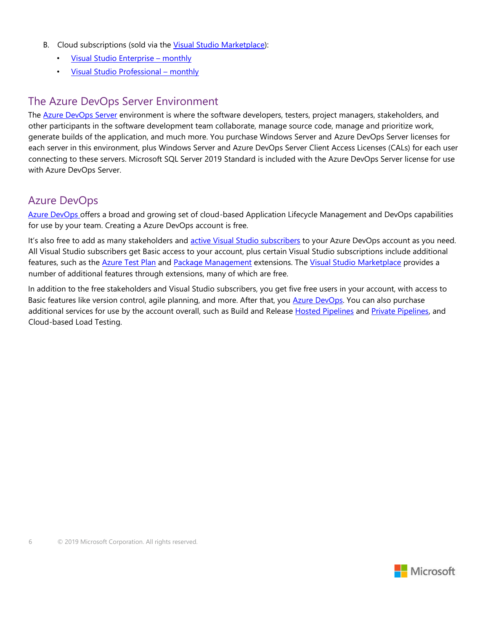- B. Cloud subscriptions (sold via the [Visual Studio Marketplace\):](http://aka.ms/vsmarketplace)
	- [Visual Studio Enterprise](http://aka.ms/enterprise-monthly)  monthl[y](http://aka.ms/enterprise-monthly)
	- [Visual Studio Professional](http://aka.ms/professional-monthly)  monthl[y](http://aka.ms/professional-monthly)

## <span id="page-5-0"></span>The Azure DevOps Server Environment

The [Azure DevOps Server](https://www.visualstudio.com/products/tfs-overview-vs) [e](https://www.visualstudio.com/products/tfs-overview-vs)nvironment is where the software developers, testers, project managers, stakeholders, and other participants in the software development team collaborate, manage source code, manage and prioritize work, generate builds of the application, and much more. You purchase Windows Server and Azure DevOps Server licenses for each server in this environment, plus Windows Server and Azure DevOps Server Client Access Licenses (CALs) for each user connecting to these servers. Microsoft SQL Server 2019 Standard is included with the Azure DevOps Server license for use with Azure DevOps Server.

## <span id="page-5-1"></span>Azure DevOps

Azure DevOps offers a broad and growing set of cloud-based Application Lifecycle Management and DevOps capabilities for use by your team. Creating a Azure DevOps account is free.

It's also free to add as many stakeholders and **active Visual Studio subscribers** to your Azure DevOps account as you need. All Visual Studio subscribers get Basic access to your account, plus certain Visual Studio subscriptions include additional f[e](https://marketplace.visualstudio.com/items?itemName=ms.feed)atures, such as the **Azure Test Plan and [Package Management](https://marketplace.visualstudio.com/items?itemName=ms.feed)** extensions. The [Visual Studio Marketplace](http://aka.ms/vso-tfs) provides a number of additional features through extensions, many of which are free.

In addition to the free stakeholders and Visual Studio subscribers, you get five free users in your account, with access to Basic features like version control, agile planning, and more. After that, you **Azure DevOps**. You can also purchase additional services for use by the account overall, such as Build and Release [Hosted Pipelines](https://marketplace.visualstudio.com/items?itemName=ms.build-release-hosted-pipelines) [a](https://marketplace.visualstudio.com/items?itemName=ms.build-release-hosted-pipelines)nd [Private Pipelines, a](https://marketplace.visualstudio.com/items?itemName=ms.build-release-private-pipelines)nd Cloud-based Load Testing.

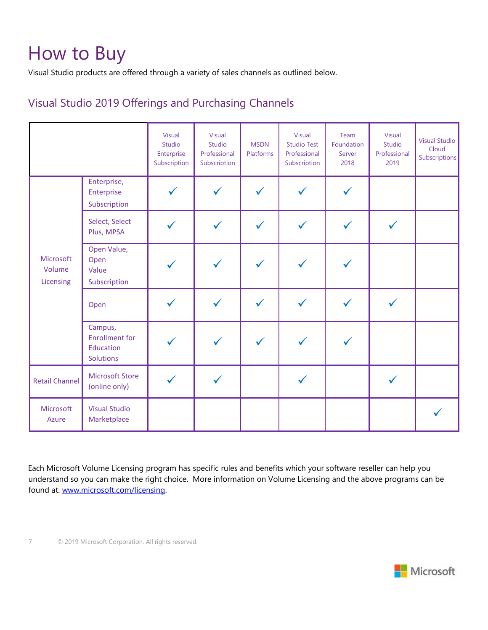# <span id="page-6-0"></span>How to Buy

Visual Studio products are offered through a variety of sales channels as outlined below.

# <span id="page-6-1"></span>Visual Studio 2019 Offerings and Purchasing Channels

|                                  |                                                                   | <b>Visual</b><br>Studio<br>Enterprise<br>Subscription | Visual<br>Studio<br>Professional<br>Subscription | <b>MSDN</b><br>Platforms | Visual<br><b>Studio Test</b><br>Professional<br>Subscription | Team<br>Foundation<br>Server<br>2018 | <b>Visual</b><br>Studio<br>Professional<br>2019 | <b>Visual Studio</b><br>Cloud<br><b>Subscriptions</b> |
|----------------------------------|-------------------------------------------------------------------|-------------------------------------------------------|--------------------------------------------------|--------------------------|--------------------------------------------------------------|--------------------------------------|-------------------------------------------------|-------------------------------------------------------|
|                                  | Enterprise,<br>Enterprise<br>Subscription                         | $\checkmark$                                          | $\checkmark$                                     | $\checkmark$             |                                                              | $\checkmark$                         |                                                 |                                                       |
|                                  | Select, Select<br>Plus, MPSA                                      | ✓                                                     | $\checkmark$                                     | $\checkmark$             |                                                              | $\checkmark$                         |                                                 |                                                       |
| Microsoft<br>Volume<br>Licensing | Open Value,<br>Open<br>Value<br>Subscription                      |                                                       |                                                  |                          |                                                              |                                      |                                                 |                                                       |
|                                  | Open                                                              | $\checkmark$                                          | $\checkmark$                                     | $\checkmark$             |                                                              | ✓                                    | $\checkmark$                                    |                                                       |
|                                  | Campus,<br><b>Enrollment</b> for<br>Education<br><b>Solutions</b> |                                                       |                                                  |                          |                                                              |                                      |                                                 |                                                       |
| <b>Retail Channel</b>            | <b>Microsoft Store</b><br>(online only)                           | $\checkmark$                                          | $\checkmark$                                     |                          |                                                              |                                      | $\checkmark$                                    |                                                       |
| Microsoft<br>Azure               | <b>Visual Studio</b><br>Marketplace                               |                                                       |                                                  |                          |                                                              |                                      |                                                 |                                                       |

Each Microsoft Volume Licensing program has specific rules and benefits which your software reseller can help you understand so you can make the right choice. More information on Volume Licensing and the above programs can be found at: [www.microsoft.com/licensing.](http://www.microsoft.com/licensing) 

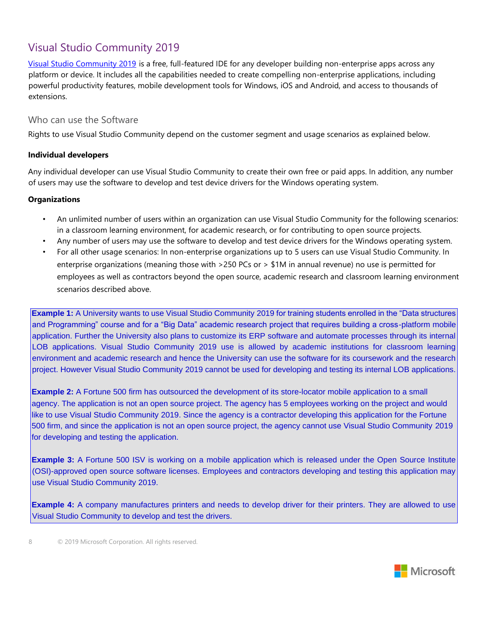# <span id="page-7-0"></span>Visual Studio Community 2019

[Visual Studio Community 2019](http://www.visualstudio.com/products/visual-studio-community-vs) [is](http://www.visualstudio.com/products/visual-studio-community-vs) a free, full-featured IDE for any developer building non-enterprise apps across any platform or device. It includes all the capabilities needed to create compelling non-enterprise applications, including powerful productivity features, mobile development tools for Windows, iOS and Android, and access to thousands of extensions.

#### <span id="page-7-1"></span>Who can use the Software

Rights to use Visual Studio Community depend on the customer segment and usage scenarios as explained below.

#### **Individual developers**

Any individual developer can use Visual Studio Community to create their own free or paid apps. In addition, any number of users may use the software to develop and test device drivers for the Windows operating system.

#### **Organizations**

- An unlimited number of users within an organization can use Visual Studio Community for the following scenarios: in a classroom learning environment, for academic research, or for contributing to open source projects.
- Any number of users may use the software to develop and test device drivers for the Windows operating system.
- For all other usage scenarios: In non-enterprise organizations up to 5 users can use Visual Studio Community. In enterprise organizations (meaning those with >250 PCs or > \$1M in annual revenue) no use is permitted for employees as well as contractors beyond the open source, academic research and classroom learning environment scenarios described above.

**Example 1:** A University wants to use Visual Studio Community 2019 for training students enrolled in the "Data structures and Programming" course and for a "Big Data" academic research project that requires building a cross-platform mobile application. Further the University also plans to customize its ERP software and automate processes through its internal LOB applications. Visual Studio Community 2019 use is allowed by academic institutions for classroom learning environment and academic research and hence the University can use the software for its coursework and the research project. However Visual Studio Community 2019 cannot be used for developing and testing its internal LOB applications.

**Example 2:** A Fortune 500 firm has outsourced the development of its store-locator mobile application to a small agency. The application is not an open source project. The agency has 5 employees working on the project and would like to use Visual Studio Community 2019. Since the agency is a contractor developing this application for the Fortune 500 firm, and since the application is not an open source project, the agency cannot use Visual Studio Community 2019 for developing and testing the application.

**Example 3:** A Fortune 500 ISV is working on a mobile application which is released under the Open Source Institute (OSI)-approved open source software licenses. Employees and contractors developing and testing this application may use Visual Studio Community 2019.

**Example 4:** A company manufactures printers and needs to develop driver for their printers. They are allowed to use Visual Studio Community to develop and test the drivers.

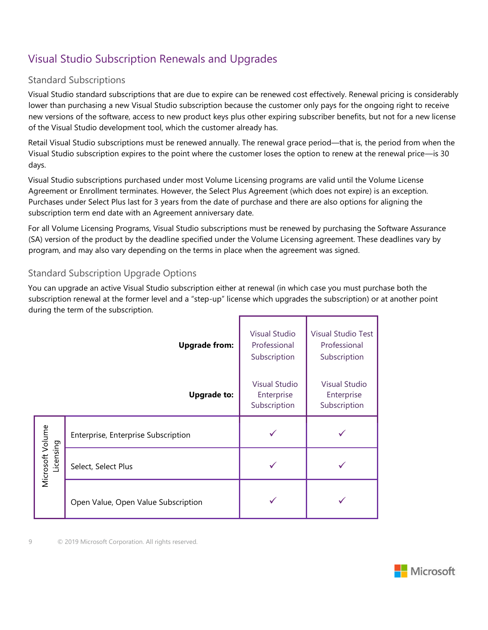# <span id="page-8-0"></span>Visual Studio Subscription Renewals and Upgrades

### <span id="page-8-1"></span>Standard Subscriptions

Visual Studio standard subscriptions that are due to expire can be renewed cost effectively. Renewal pricing is considerably lower than purchasing a new Visual Studio subscription because the customer only pays for the ongoing right to receive new versions of the software, access to new product keys plus other expiring subscriber benefits, but not for a new license of the Visual Studio development tool, which the customer already has.

Retail Visual Studio subscriptions must be renewed annually. The renewal grace period—that is, the period from when the Visual Studio subscription expires to the point where the customer loses the option to renew at the renewal price—is 30 days.

Visual Studio subscriptions purchased under most Volume Licensing programs are valid until the Volume License Agreement or Enrollment terminates. However, the Select Plus Agreement (which does not expire) is an exception. Purchases under Select Plus last for 3 years from the date of purchase and there are also options for aligning the subscription term end date with an Agreement anniversary date.

For all Volume Licensing Programs, Visual Studio subscriptions must be renewed by purchasing the Software Assurance (SA) version of the product by the deadline specified under the Volume Licensing agreement. These deadlines vary by program, and may also vary depending on the terms in place when the agreement was signed.

### <span id="page-8-2"></span>Standard Subscription Upgrade Options

You can upgrade an active Visual Studio subscription either at renewal (in which case you must purchase both the subscription renewal at the former level and a "step-up" license which upgrades the subscription) or at another point during the term of the subscription.

|                               | <b>Upgrade from:</b>                | <b>Visual Studio</b><br>Professional<br>Subscription | <b>Visual Studio Test</b><br>Professional<br>Subscription |
|-------------------------------|-------------------------------------|------------------------------------------------------|-----------------------------------------------------------|
|                               | <b>Upgrade to:</b>                  | <b>Visual Studio</b><br>Enterprise<br>Subscription   | <b>Visual Studio</b><br>Enterprise<br>Subscription        |
|                               | Enterprise, Enterprise Subscription |                                                      |                                                           |
| Microsoft Volume<br>Licensing | Select, Select Plus                 |                                                      |                                                           |
|                               | Open Value, Open Value Subscription |                                                      |                                                           |

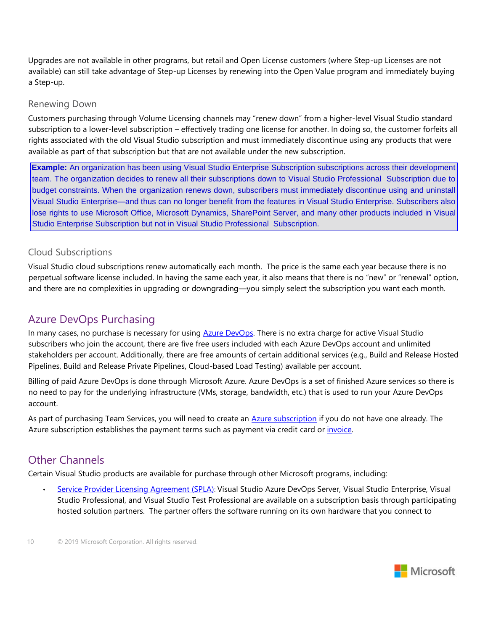Upgrades are not available in other programs, but retail and Open License customers (where Step-up Licenses are not available) can still take advantage of Step-up Licenses by renewing into the Open Value program and immediately buying a Step-up.

#### <span id="page-9-0"></span>Renewing Down

Customers purchasing through Volume Licensing channels may "renew down" from a higher-level Visual Studio standard subscription to a lower-level subscription – effectively trading one license for another. In doing so, the customer forfeits all rights associated with the old Visual Studio subscription and must immediately discontinue using any products that were available as part of that subscription but that are not available under the new subscription.

**Example:** An organization has been using Visual Studio Enterprise Subscription subscriptions across their development team. The organization decides to renew all their subscriptions down to Visual Studio Professional Subscription due to budget constraints. When the organization renews down, subscribers must immediately discontinue using and uninstall Visual Studio Enterprise—and thus can no longer benefit from the features in Visual Studio Enterprise. Subscribers also lose rights to use Microsoft Office, Microsoft Dynamics, SharePoint Server, and many other products included in Visual Studio Enterprise Subscription but not in Visual Studio Professional Subscription.

#### <span id="page-9-1"></span>Cloud Subscriptions

Visual Studio cloud subscriptions renew automatically each month. The price is the same each year because there is no perpetual software license included. In having the same each year, it also means that there is no "new" or "renewal" option, and there are no complexities in upgrading or downgrading—you simply select the subscription you want each month.

## <span id="page-9-2"></span>Azure DevOps Purchasing

In many cases, no purchase is necessary for using [Azure DevOps. T](http://www.visualstudio.com/products/visual-studio-online-overview-vs)here is no extra charge for active Visual Studio subscribers who join the account, there are five free users included with each Azure DevOps account and unlimited stakeholders per account. Additionally, there are free amounts of certain additional services (e.g., Build and Release Hosted Pipelines, Build and Release Private Pipelines, Cloud-based Load Testing) available per account.

Billing of paid Azure DevOps is done through Microsoft Azure. Azure DevOps is a set of finished Azure services so there is no need to pay for the underlying infrastructure (VMs, storage, bandwidth, etc.) that is used to run your Azure DevOps account.

As part of purchasing Team Services, you will need to create an [Azure subscription](http://azure.microsoft.com/en-us/pricing/purchase-options/) [if](http://azure.microsoft.com/en-us/pricing/purchase-options/) you do not have one already. The Azure subscription establishes the payment terms such as payment via credit card or [invoice.](http://azure.microsoft.com/en-us/pricing/invoicing/) 

## <span id="page-9-3"></span>Other Channels

Certain Visual Studio products are available for purchase through other Microsoft programs, including:

• [Service Provider Licensing Agreement \(SPLA\)](http://www.microsoft.com/hosting/en/us/licensing/default.aspx)[:](http://www.microsoft.com/hosting/en/us/licensing/default.aspx) Visual Studio Azure DevOps Server, Visual Studio Enterprise, Visual Studio Professional, and Visual Studio Test Professional are available on a subscription basis through participating hosted solution partners. The partner offers the software running on its own hardware that you connect to

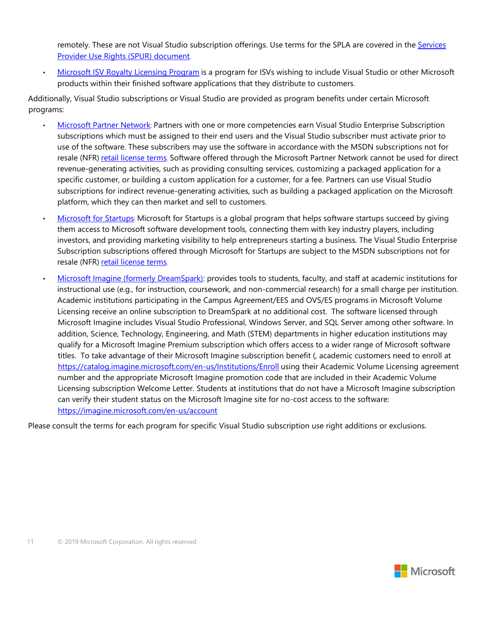remotely. These are not Visual Studio subscription offerings. Use terms for the SPLA are covered in the [Services](http://www.microsoftvolumelicensing.com/userights/DocumentSearch.aspx?Mode=3&DocumentTypeId=2)  [Provider Use Rights \(SPUR\) document](http://www.microsoftvolumelicensing.com/userights/DocumentSearch.aspx?Mode=3&DocumentTypeId=2)[.](http://www.microsoftvolumelicensing.com/userights/DocumentSearch.aspx?Mode=3&DocumentTypeId=2) 

• [Microsoft ISV Royalty Licensing Program](http://www.microsoft.com/licensing/licensing-options/isv-program.aspx) [is](http://www.microsoft.com/licensing/licensing-options/isv-program.aspx) a program for ISVs wishing to include Visual Studio or other Microsoft products within their finished software applications that they distribute to customers.

Additionally, Visual Studio subscriptions or Visual Studio are provided as program benefits under certain Microsoft programs:

- [Microsoft Partner Network](https://partner.microsoft.com/global/40019775)[:](https://partner.microsoft.com/global/40019775) Partners with one or more competencies earn Visual Studio Enterprise Subscription subscriptions which must be assigned to their end users and the Visual Studio subscriber must activate prior to use of the software. These subscribers may use the software in accordance with the MSDN subscriptions not for resale (NFR) [retail license terms](http://www.microsoft.com/useterms/)[.](http://www.microsoft.com/useterms/) Software offered through the Microsoft Partner Network cannot be used for direct revenue-generating activities, such as providing consulting services, customizing a packaged application for a specific customer, or building a custom application for a customer, for a fee. Partners can use Visual Studio subscriptions for indirect revenue-generating activities, such as building a packaged application on the Microsoft platform, which they can then market and sell to customers.
- Microsoft [for Startups](http://www.bizspark.com/)[:](http://www.bizspark.com/) Microsoft for Startups is a global program that helps software startups succeed by giving them access to Microsoft software development tools, connecting them with key industry players, including investors, and providing marketing visibility to help entrepreneurs starting a business. The Visual Studio Enterprise Subscription subscriptions offered through Microsoft for Startups are subject to the MSDN subscriptions not for resale (NFR) [retail license terms](http://www.microsoft.com/useterms/)[.](http://www.microsoft.com/useterms/)
- [Microsoft Imagine \(](http://imagine.microsoft.com/)formerly DreamSpark): provides tools to students, faculty, and staff at academic institutions for instructional use (e.g., for instruction, coursework, and non-commercial research) for a small charge per institution. Academic institutions participating in the Campus Agreement/EES and OVS/ES programs in Microsoft Volume Licensing receive an online subscription to DreamSpark at no additional cost. The software licensed through Microsoft Imagine includes Visual Studio Professional, Windows Server, and SQL Server among other software. In addition, Science, Technology, Engineering, and Math (STEM) departments in higher education institutions may qualify for a Microsoft Imagine Premium subscription which offers access to a wider range of Microsoft software titles. To take advantage of their Microsoft Imagine subscription benefit (, academic customers need to enroll at <https://catalog.imagine.microsoft.com/en-us/Institutions/Enroll> [us](https://catalog.imagine.microsoft.com/en-us/Institutions/Enroll)ing their Academic Volume Licensing agreement number and the appropriate Microsoft Imagine promotion code that are included in their Academic Volume Licensing subscription Welcome Letter. Students at institutions that do not have a Microsoft Imagine subscription can verify their student status on the Microsoft Imagine site for no-cost access to the software: <https://imagine.microsoft.com/en-us/account>

Please consult the terms for each program for specific Visual Studio subscription use right additions or exclusions.

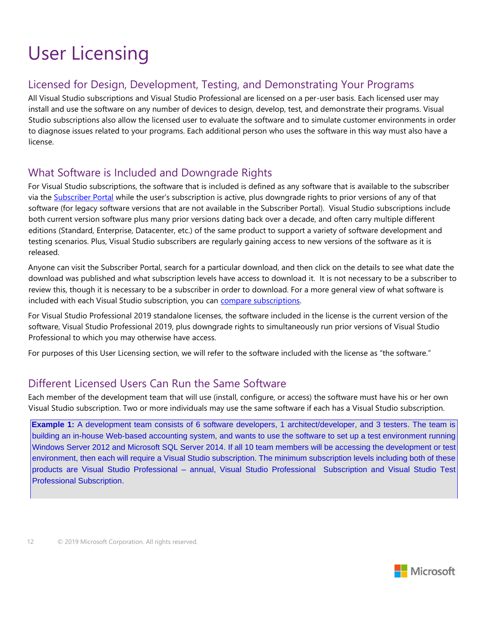# <span id="page-11-0"></span>User Licensing

# <span id="page-11-1"></span>Licensed for Design, Development, Testing, and Demonstrating Your Programs

All Visual Studio subscriptions and Visual Studio Professional are licensed on a per-user basis. Each licensed user may install and use the software on any number of devices to design, develop, test, and demonstrate their programs. Visual Studio subscriptions also allow the licensed user to evaluate the software and to simulate customer environments in order to diagnose issues related to your programs. Each additional person who uses the software in this way must also have a license.

# <span id="page-11-2"></span>What Software is Included and Downgrade Rights

For Visual Studio subscriptions, the software that is included is defined as any software that is available to the subscriber via the [Subscriber Portal](https://my.visualstudio.com/) [w](https://my.visualstudio.com/)hile the user's subscription is active, plus downgrade rights to prior versions of any of that software (for legacy software versions that are not available in the Subscriber Portal). Visual Studio subscriptions include both current version software plus many prior versions dating back over a decade, and often carry multiple different editions (Standard, Enterprise, Datacenter, etc.) of the same product to support a variety of software development and testing scenarios. Plus, Visual Studio subscribers are regularly gaining access to new versions of the software as it is released.

Anyone can visit the Subscriber Portal, search for a particular download, and then click on the details to see what date the download was published and what subscription levels have access to download it. It is not necessary to be a subscriber to review this, though it is necessary to be a subscriber in order to download. For a more general view of what software is included with each Visual Studio subscription, you can compare subscriptions.

For Visual Studio Professional 2019 standalone licenses, the software included in the license is the current version of the software, Visual Studio Professional 2019, plus downgrade rights to simultaneously run prior versions of Visual Studio Professional to which you may otherwise have access.

For purposes of this User Licensing section, we will refer to the software included with the license as "the software."

# <span id="page-11-3"></span>Different Licensed Users Can Run the Same Software

Each member of the development team that will use (install, configure, or access) the software must have his or her own Visual Studio subscription. Two or more individuals may use the same software if each has a Visual Studio subscription.

**Example 1:** A development team consists of 6 software developers, 1 architect/developer, and 3 testers. The team is building an in-house Web-based accounting system, and wants to use the software to set up a test environment running Windows Server 2012 and Microsoft SQL Server 2014. If all 10 team members will be accessing the development or test environment, then each will require a Visual Studio subscription. The minimum subscription levels including both of these products are Visual Studio Professional – annual, Visual Studio Professional Subscription and Visual Studio Test Professional Subscription.

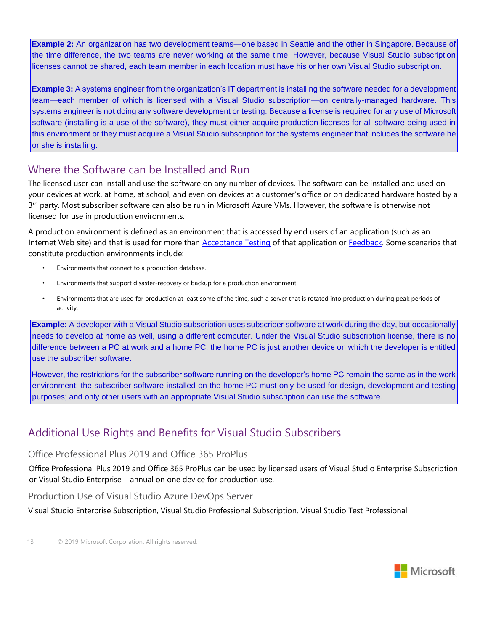**Example 2:** An organization has two development teams—one based in Seattle and the other in Singapore. Because of the time difference, the two teams are never working at the same time. However, because Visual Studio subscription licenses cannot be shared, each team member in each location must have his or her own Visual Studio subscription.

**Example 3:** A systems engineer from the organization's IT department is installing the software needed for a development team—each member of which is licensed with a Visual Studio subscription—on centrally-managed hardware. This systems engineer is not doing any software development or testing. Because a license is required for any use of Microsoft software (installing is a use of the software), they must either acquire production licenses for all software being used in this environment or they must acquire a Visual Studio subscription for the systems engineer that includes the software he or she is installing.

## <span id="page-12-0"></span>Where the Software can be Installed and Run

The licensed user can install and use the software on any number of devices. The software can be installed and used on your devices at work, at home, at school, and even on devices at a customer's office or on dedicated hardware hosted by a 3<sup>rd</sup> party. Most subscriber software can also be run in Microsoft Azure VMs. However, the software is otherwise not licensed for use in production environments.

A production environment is defined as an environment that is accessed by end users of an application (such as an Internet Web site) and that is used for more than **Acceptance Testing** of that application or Feedback. Some scenarios that constitute production environments include:

- Environments that connect to a production database.
- Environments that support disaster-recovery or backup for a production environment.
- Environments that are used for production at least some of the time, such a server that is rotated into production during peak periods of activity.

**Example:** A developer with a Visual Studio subscription uses subscriber software at work during the day, but occasionally needs to develop at home as well, using a different computer. Under the Visual Studio subscription license, there is no difference between a PC at work and a home PC; the home PC is just another device on which the developer is entitled use the subscriber software.

However, the restrictions for the subscriber software running on the developer's home PC remain the same as in the work environment: the subscriber software installed on the home PC must only be used for design, development and testing purposes; and only other users with an appropriate Visual Studio subscription can use the software.

# <span id="page-12-1"></span>Additional Use Rights and Benefits for Visual Studio Subscribers

#### <span id="page-12-2"></span>Office Professional Plus 2019 and Office 365 ProPlus

Office Professional Plus 2019 and Office 365 ProPlus can be used by licensed users of Visual Studio Enterprise Subscription or Visual Studio Enterprise – annual on one device for production use.

#### <span id="page-12-3"></span>Production Use of Visual Studio Azure DevOps Server

Visual Studio Enterprise Subscription, Visual Studio Professional Subscription, Visual Studio Test Professional

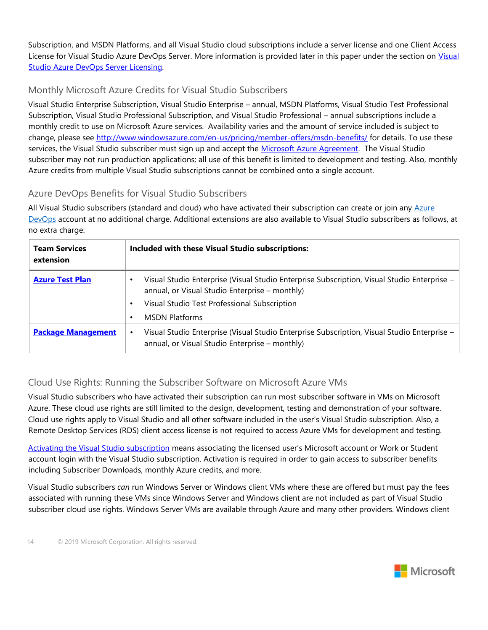Subscription, and MSDN Platforms, and all Visual Studio cloud subscriptions include a server license and one Client Access License for Visual Studio Azure DevOps Server. More information is provided later in this paper under the section on Visual Studio Azure DevOps Server Licensing.

## <span id="page-13-0"></span>Monthly Microsoft Azure Credits for Visual Studio Subscribers

Visual Studio Enterprise Subscription, Visual Studio Enterprise – annual, MSDN Platforms, Visual Studio Test Professional Subscription, Visual Studio Professional Subscription, and Visual Studio Professional – annual subscriptions include a monthly credit to use on Microsoft Azure services. Availability varies and the amount of service included is subject to change, please see<http://www.windowsazure.com/en-us/pricing/member-offers/msdn-benefits/> for details. To use these services, the Visual Studio subscriber must sign up and accept the [Microsoft Azure Agreement.](http://azure.microsoft.com/en-us/support/legal/subscription-agreement/) The Visual Studio subscriber may not run production applications; all use of this benefit is limited to development and testing. Also, monthly Azure credits from multiple Visual Studio subscriptions cannot be combined onto a single account.

## <span id="page-13-1"></span>Azure DevOps Benefits for Visual Studio Subscribers

All Visual Studio subscribers (standard and cloud) who have activated their subscription can create or join any Azure [DevOps](https://dev.azure.com/) account at no additional charge. Additional extensions are also available to Visual Studio subscribers as follows, at no extra charge:

| <b>Team Services</b><br>extension | Included with these Visual Studio subscriptions:                                                                                                                                                                            |
|-----------------------------------|-----------------------------------------------------------------------------------------------------------------------------------------------------------------------------------------------------------------------------|
| <b>Azure Test Plan</b>            | Visual Studio Enterprise (Visual Studio Enterprise Subscription, Visual Studio Enterprise -<br>annual, or Visual Studio Enterprise - monthly)<br>Visual Studio Test Professional Subscription<br>٠<br><b>MSDN Platforms</b> |
| <b>Package Management</b>         | Visual Studio Enterprise (Visual Studio Enterprise Subscription, Visual Studio Enterprise -<br>$\bullet$<br>annual, or Visual Studio Enterprise - monthly)                                                                  |

## <span id="page-13-2"></span>Cloud Use Rights: Running the Subscriber Software on Microsoft Azure VMs

Visual Studio subscribers who have activated their subscription can run most subscriber software in VMs on Microsoft Azure. These cloud use rights are still limited to the design, development, testing and demonstration of your software. Cloud use rights apply to Visual Studio and all other software included in the user's Visual Studio subscription. Also, a Remote Desktop Services (RDS) client access license is not required to access Azure VMs for development and testing.

[Activating the Visual Studio subscription](http://msdn.microsoft.com/subscriptions/add/) [m](http://msdn.microsoft.com/subscriptions/add/)eans associating the licensed user's Microsoft account or Work or Student account login with the Visual Studio subscription. Activation is required in order to gain access to subscriber benefits including Subscriber Downloads, monthly Azure credits, and more.

Visual Studio subscribers *can* run Windows Server or Windows client VMs where these are offered but must pay the fees associated with running these VMs since Windows Server and Windows client are not included as part of Visual Studio subscriber cloud use rights. Windows Server VMs are available through Azure and many other providers. Windows client

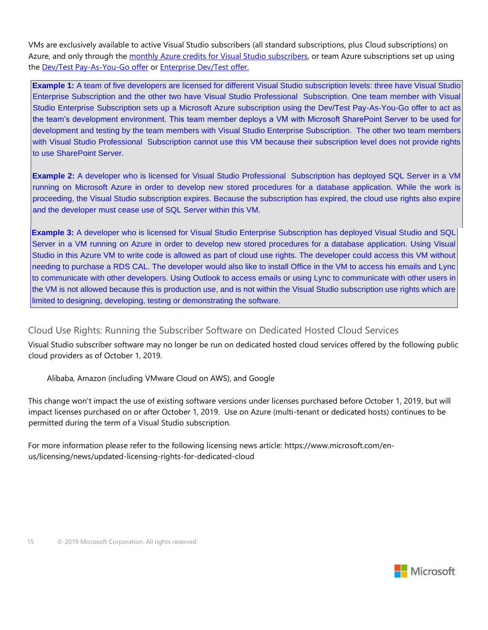VMs are exclusively available to active Visual Studio subscribers (all standard subscriptions, plus Cloud subscriptions) on Azure, and only through the [monthly Azure credits for Visual Studio subscribers, o](http://azure.microsoft.com/en-us/pricing/member-offers/msdn-benefits-details/)r team Azure subscriptions set up using the [Dev/Test Pay-As-You-Go offer](http://azure.microsoft.com/en-us/offers/ms-azr-0023p) [o](http://azure.microsoft.com/en-us/offers/ms-azr-0023p)r [Enterprise Dev/Test offer.](http://azure.microsoft.com/en-us/offers/ms-azr-0148p)

**Example 1:** A team of five developers are licensed for different Visual Studio subscription levels: three have Visual Studio Enterprise Subscription and the other two have Visual Studio Professional Subscription. One team member with Visual Studio Enterprise Subscription sets up a Microsoft Azure subscription using the Dev/Test Pay-As-You-Go offer to act as the team's development environment. This team member deploys a VM with Microsoft SharePoint Server to be used for development and testing by the team members with Visual Studio Enterprise Subscription. The other two team members with Visual Studio Professional Subscription cannot use this VM because their subscription level does not provide rights to use SharePoint Server.

**Example 2:** A developer who is licensed for Visual Studio Professional Subscription has deployed SQL Server in a VM running on Microsoft Azure in order to develop new stored procedures for a database application. While the work is proceeding, the Visual Studio subscription expires. Because the subscription has expired, the cloud use rights also expire and the developer must cease use of SQL Server within this VM.

**Example 3:** A developer who is licensed for Visual Studio Enterprise Subscription has deployed Visual Studio and SQL Server in a VM running on Azure in order to develop new stored procedures for a database application. Using Visual Studio in this Azure VM to write code is allowed as part of cloud use rights. The developer could access this VM without needing to purchase a RDS CAL. The developer would also like to install Office in the VM to access his emails and Lync to communicate with other developers. Using Outlook to access emails or using Lync to communicate with other users in the VM is not allowed because this is production use, and is not within the Visual Studio subscription use rights which are limited to designing, developing, testing or demonstrating the software.

#### <span id="page-14-0"></span>Cloud Use Rights: Running the Subscriber Software on Dedicated Hosted Cloud Services

Visual Studio subscriber software may no longer be run on dedicated hosted cloud services offered by the following public cloud providers as of October 1, 2019.

Alibaba, Amazon (including VMware Cloud on AWS), and Google

This change won't impact the use of existing software versions under licenses purchased before October 1, 2019, but will impact licenses purchased on or after October 1, 2019. Use on Azure (multi-tenant or dedicated hosts) continues to be permitted during the term of a Visual Studio subscription.

For more information please refer to the following licensing news article: https://www.microsoft.com/enus/licensing/news/updated-licensing-rights-for-dedicated-cloud

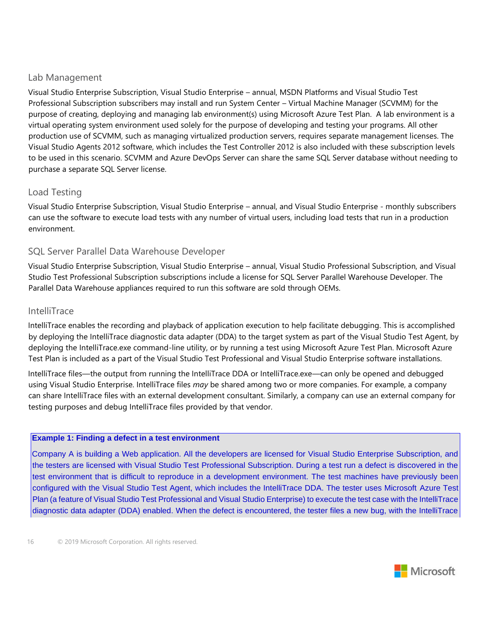#### Lab Management

Visual Studio Enterprise Subscription, Visual Studio Enterprise – annual, MSDN Platforms and Visual Studio Test Professional Subscription subscribers may install and run System Center – Virtual Machine Manager (SCVMM) for the purpose of creating, deploying and managing lab environment(s) using Microsoft Azure Test Plan. A lab environment is a virtual operating system environment used solely for the purpose of developing and testing your programs. All other production use of SCVMM, such as managing virtualized production servers, requires separate management licenses. The Visual Studio Agents 2012 software, which includes the Test Controller 2012 is also included with these subscription levels to be used in this scenario. SCVMM and Azure DevOps Server can share the same SQL Server database without needing to purchase a separate SQL Server license.

### <span id="page-15-0"></span>Load Testing

Visual Studio Enterprise Subscription, Visual Studio Enterprise – annual, and Visual Studio Enterprise - monthly subscribers can use the software to execute load tests with any number of virtual users, including load tests that run in a production environment.

### <span id="page-15-1"></span>SQL Server Parallel Data Warehouse Developer

Visual Studio Enterprise Subscription, Visual Studio Enterprise – annual, Visual Studio Professional Subscription, and Visual Studio Test Professional Subscription subscriptions include a license for SQL Server Parallel Warehouse Developer. The Parallel Data Warehouse appliances required to run this software are sold through OEMs.

#### <span id="page-15-2"></span>IntelliTrace

IntelliTrace enables the recording and playback of application execution to help facilitate debugging. This is accomplished by deploying the IntelliTrace diagnostic data adapter (DDA) to the target system as part of the Visual Studio Test Agent, by deploying the IntelliTrace.exe command-line utility, or by running a test using Microsoft Azure Test Plan. Microsoft Azure Test Plan is included as a part of the Visual Studio Test Professional and Visual Studio Enterprise software installations.

IntelliTrace files—the output from running the IntelliTrace DDA or IntelliTrace.exe—can only be opened and debugged using Visual Studio Enterprise. IntelliTrace files *may* be shared among two or more companies. For example, a company can share IntelliTrace files with an external development consultant. Similarly, a company can use an external company for testing purposes and debug IntelliTrace files provided by that vendor.

#### **Example 1: Finding a defect in a test environment**

Company A is building a Web application. All the developers are licensed for Visual Studio Enterprise Subscription, and the testers are licensed with Visual Studio Test Professional Subscription. During a test run a defect is discovered in the test environment that is difficult to reproduce in a development environment. The test machines have previously been configured with the Visual Studio Test Agent, which includes the IntelliTrace DDA. The tester uses Microsoft Azure Test Plan (a feature of Visual Studio Test Professional and Visual Studio Enterprise) to execute the test case with the IntelliTrace diagnostic data adapter (DDA) enabled. When the defect is encountered, the tester files a new bug, with the IntelliTrace

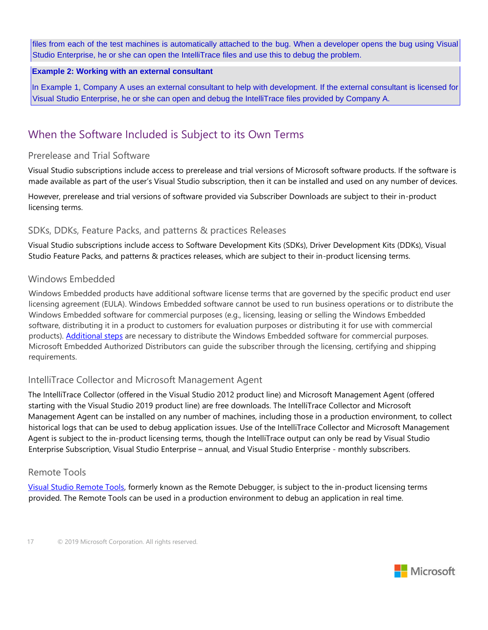files from each of the test machines is automatically attached to the bug. When a developer opens the bug using Visual Studio Enterprise, he or she can open the IntelliTrace files and use this to debug the problem.

#### **Example 2: Working with an external consultant**

In Example 1, Company A uses an external consultant to help with development. If the external consultant is licensed for Visual Studio Enterprise, he or she can open and debug the IntelliTrace files provided by Company A.

# <span id="page-16-0"></span>When the Software Included is Subject to its Own Terms

#### <span id="page-16-1"></span>Prerelease and Trial Software

Visual Studio subscriptions include access to prerelease and trial versions of Microsoft software products. If the software is made available as part of the user's Visual Studio subscription, then it can be installed and used on any number of devices.

However, prerelease and trial versions of software provided via Subscriber Downloads are subject to their in-product licensing terms.

#### <span id="page-16-2"></span>SDKs, DDKs, Feature Packs, and patterns & practices Releases

Visual Studio subscriptions include access to Software Development Kits (SDKs), Driver Development Kits (DDKs), Visual Studio Feature Packs, and patterns & practices releases, which are subject to their in-product licensing terms.

#### <span id="page-16-3"></span>Windows Embedded

Windows Embedded products have additional software license terms that are governed by the specific product end user licensing agreement (EULA). Windows Embedded software cannot be used to run business operations or to distribute the Windows Embedded software for commercial purposes (e.g., licensing, leasing or selling the Windows Embedded software, distributing it in a product to customers for evaluation purposes or distributing it for use with commercial products). [Additional steps](http://www.microsoft.com/windowsembedded/en-us/evaluate/bringing-a-windows-embedded-device-to-market.aspx) [a](http://www.microsoft.com/windowsembedded/en-us/evaluate/bringing-a-windows-embedded-device-to-market.aspx)re necessary to distribute the Windows Embedded software for commercial purposes. Microsoft Embedded Authorized Distributors can guide the subscriber through the licensing, certifying and shipping requirements.

#### <span id="page-16-4"></span>IntelliTrace Collector and Microsoft Management Agent

The IntelliTrace Collector (offered in the Visual Studio 2012 product line) and Microsoft Management Agent (offered starting with the Visual Studio 2019 product line) are free downloads. The IntelliTrace Collector and Microsoft Management Agent can be installed on any number of machines, including those in a production environment, to collect historical logs that can be used to debug application issues. Use of the IntelliTrace Collector and Microsoft Management Agent is subject to the in-product licensing terms, though the IntelliTrace output can only be read by Visual Studio Enterprise Subscription, Visual Studio Enterprise – annual, and Visual Studio Enterprise - monthly subscribers.

#### <span id="page-16-5"></span>Remote Tools

[Visual Studio Remote Tools, f](http://go.microsoft.com/fwlink/?linkid=264735)ormerly known as the Remote Debugger, is subject to the in-product licensing terms provided. The Remote Tools can be used in a production environment to debug an application in real time.

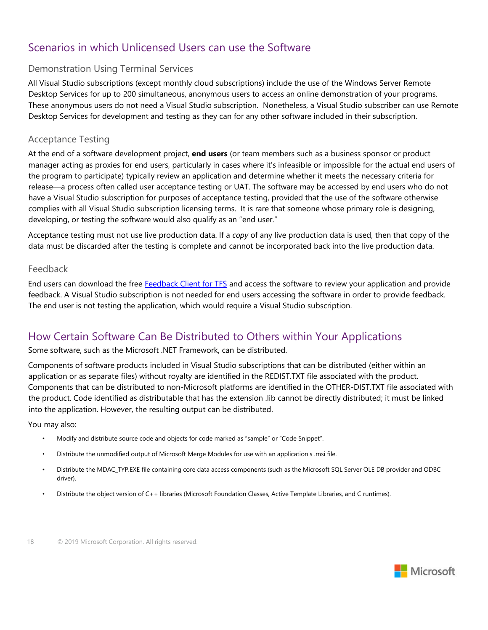# <span id="page-17-0"></span>Scenarios in which Unlicensed Users can use the Software

### <span id="page-17-1"></span>Demonstration Using Terminal Services

All Visual Studio subscriptions (except monthly cloud subscriptions) include the use of the Windows Server Remote Desktop Services for up to 200 simultaneous, anonymous users to access an online demonstration of your programs. These anonymous users do not need a Visual Studio subscription. Nonetheless, a Visual Studio subscriber can use Remote Desktop Services for development and testing as they can for any other software included in their subscription.

#### <span id="page-17-2"></span>Acceptance Testing

At the end of a software development project, **end users** (or team members such as a business sponsor or product manager acting as proxies for end users, particularly in cases where it's infeasible or impossible for the actual end users of the program to participate) typically review an application and determine whether it meets the necessary criteria for release—a process often called user acceptance testing or UAT. The software may be accessed by end users who do not have a Visual Studio subscription for purposes of acceptance testing, provided that the use of the software otherwise complies with all Visual Studio subscription licensing terms. It is rare that someone whose primary role is designing, developing, or testing the software would also qualify as an "end user."

Acceptance testing must not use live production data. If a *copy* of any live production data is used, then that copy of the data must be discarded after the testing is complete and cannot be incorporated back into the live production data.

#### <span id="page-17-3"></span>Feedback

End users can download the free [Feedback Client for TFS](http://go.microsoft.com/fwlink/?linkid=264734) [a](http://go.microsoft.com/fwlink/?linkid=264734)nd access the software to review your application and provide feedback. A Visual Studio subscription is not needed for end users accessing the software in order to provide feedback. The end user is not testing the application, which would require a Visual Studio subscription.

## <span id="page-17-4"></span>How Certain Software Can Be Distributed to Others within Your Applications

#### Some software, such as the Microsoft .NET Framework, can be distributed.

Components of software products included in Visual Studio subscriptions that can be distributed (either within an application or as separate files) without royalty are identified in the REDIST.TXT file associated with the product. Components that can be distributed to non-Microsoft platforms are identified in the OTHER-DIST.TXT file associated with the product. Code identified as distributable that has the extension .lib cannot be directly distributed; it must be linked into the application. However, the resulting output can be distributed.

You may also:

- Modify and distribute source code and objects for code marked as "sample" or "Code Snippet".
- Distribute the unmodified output of Microsoft Merge Modules for use with an application's .msi file.
- Distribute the MDAC\_TYP.EXE file containing core data access components (such as the Microsoft SQL Server OLE DB provider and ODBC driver).
- Distribute the object version of C++ libraries (Microsoft Foundation Classes, Active Template Libraries, and C runtimes).

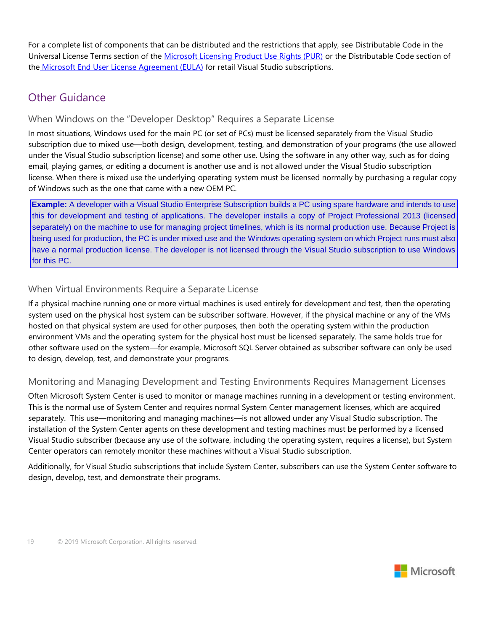For a complete list of components that can be distributed and the restrictions that apply, see Distributable Code in the Universal License Terms section of the [Microsoft Licensing Product Use Rights \(PUR\)](http://www.microsoftvolumelicensing.com/userights/PUR.aspx) or the Distributable Code section of the [Microsoft End User License Agreement \(EULA\)](http://www.microsoft.com/about/legal/useterms/default.aspx) [f](http://www.microsoft.com/about/legal/useterms/default.aspx)or retail Visual Studio subscriptions.

# <span id="page-18-0"></span>Other Guidance

### <span id="page-18-1"></span>When Windows on the "Developer Desktop" Requires a Separate License

In most situations, Windows used for the main PC (or set of PCs) must be licensed separately from the Visual Studio subscription due to mixed use—both design, development, testing, and demonstration of your programs (the use allowed under the Visual Studio subscription license) and some other use. Using the software in any other way, such as for doing email, playing games, or editing a document is another use and is not allowed under the Visual Studio subscription license. When there is mixed use the underlying operating system must be licensed normally by purchasing a regular copy of Windows such as the one that came with a new OEM PC.

**Example:** A developer with a Visual Studio Enterprise Subscription builds a PC using spare hardware and intends to use this for development and testing of applications. The developer installs a copy of Project Professional 2013 (licensed separately) on the machine to use for managing project timelines, which is its normal production use. Because Project is being used for production, the PC is under mixed use and the Windows operating system on which Project runs must also have a normal production license. The developer is not licensed through the Visual Studio subscription to use Windows for this PC.

## <span id="page-18-2"></span>When Virtual Environments Require a Separate License

If a physical machine running one or more virtual machines is used entirely for development and test, then the operating system used on the physical host system can be subscriber software. However, if the physical machine or any of the VMs hosted on that physical system are used for other purposes, then both the operating system within the production environment VMs and the operating system for the physical host must be licensed separately. The same holds true for other software used on the system—for example, Microsoft SQL Server obtained as subscriber software can only be used to design, develop, test, and demonstrate your programs.

## <span id="page-18-3"></span>Monitoring and Managing Development and Testing Environments Requires Management Licenses

Often Microsoft System Center is used to monitor or manage machines running in a development or testing environment. This is the normal use of System Center and requires normal System Center management licenses, which are acquired separately. This use—monitoring and managing machines—is not allowed under any Visual Studio subscription. The installation of the System Center agents on these development and testing machines must be performed by a licensed Visual Studio subscriber (because any use of the software, including the operating system, requires a license), but System Center operators can remotely monitor these machines without a Visual Studio subscription.

Additionally, for Visual Studio subscriptions that include System Center, subscribers can use the System Center software to design, develop, test, and demonstrate their programs.

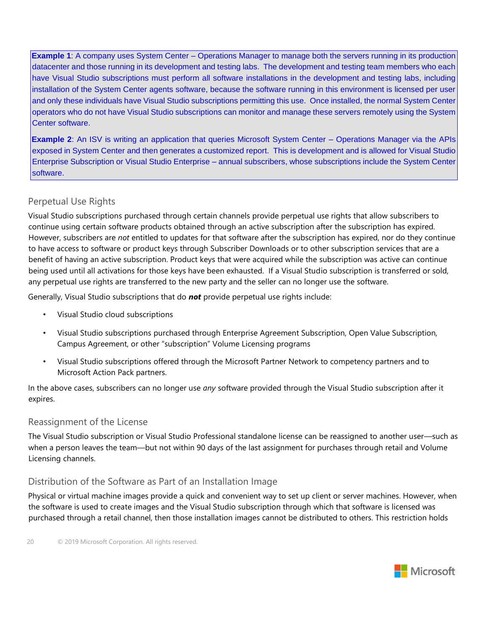**Example 1**: A company uses System Center – Operations Manager to manage both the servers running in its production datacenter and those running in its development and testing labs. The development and testing team members who each have Visual Studio subscriptions must perform all software installations in the development and testing labs, including installation of the System Center agents software, because the software running in this environment is licensed per user and only these individuals have Visual Studio subscriptions permitting this use. Once installed, the normal System Center operators who do not have Visual Studio subscriptions can monitor and manage these servers remotely using the System Center software.

**Example 2**: An ISV is writing an application that queries Microsoft System Center – Operations Manager via the APIs exposed in System Center and then generates a customized report. This is development and is allowed for Visual Studio Enterprise Subscription or Visual Studio Enterprise – annual subscribers, whose subscriptions include the System Center software.

## <span id="page-19-0"></span>Perpetual Use Rights

Visual Studio subscriptions purchased through certain channels provide perpetual use rights that allow subscribers to continue using certain software products obtained through an active subscription after the subscription has expired. However, subscribers are *not* entitled to updates for that software after the subscription has expired, nor do they continue to have access to software or product keys through Subscriber Downloads or to other subscription services that are a benefit of having an active subscription. Product keys that were acquired while the subscription was active can continue being used until all activations for those keys have been exhausted. If a Visual Studio subscription is transferred or sold, any perpetual use rights are transferred to the new party and the seller can no longer use the software.

Generally, Visual Studio subscriptions that do *not* provide perpetual use rights include:

- Visual Studio cloud subscriptions
- Visual Studio subscriptions purchased through Enterprise Agreement Subscription, Open Value Subscription, Campus Agreement, or other "subscription" Volume Licensing programs
- Visual Studio subscriptions offered through the Microsoft Partner Network to competency partners and to Microsoft Action Pack partners.

In the above cases, subscribers can no longer use *any* software provided through the Visual Studio subscription after it expires.

#### <span id="page-19-1"></span>Reassignment of the License

The Visual Studio subscription or Visual Studio Professional standalone license can be reassigned to another user—such as when a person leaves the team—but not within 90 days of the last assignment for purchases through retail and Volume Licensing channels.

## <span id="page-19-2"></span>Distribution of the Software as Part of an Installation Image

Physical or virtual machine images provide a quick and convenient way to set up client or server machines. However, when the software is used to create images and the Visual Studio subscription through which that software is licensed was purchased through a retail channel, then those installation images cannot be distributed to others. This restriction holds

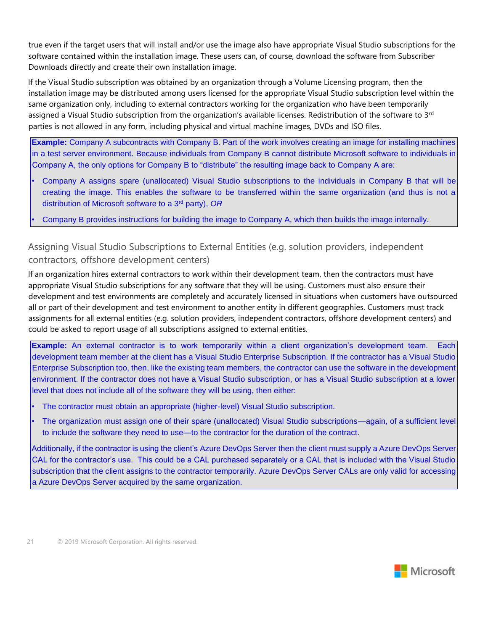true even if the target users that will install and/or use the image also have appropriate Visual Studio subscriptions for the software contained within the installation image. These users can, of course, download the software from Subscriber Downloads directly and create their own installation image.

If the Visual Studio subscription was obtained by an organization through a Volume Licensing program, then the installation image may be distributed among users licensed for the appropriate Visual Studio subscription level within the same organization only, including to external contractors working for the organization who have been temporarily assigned a Visual Studio subscription from the organization's available licenses. Redistribution of the software to 3<sup>rd</sup> parties is not allowed in any form, including physical and virtual machine images, DVDs and ISO files.

**Example:** Company A subcontracts with Company B. Part of the work involves creating an image for installing machines in a test server environment. Because individuals from Company B cannot distribute Microsoft software to individuals in Company A, the only options for Company B to "distribute" the resulting image back to Company A are:

- Company A assigns spare (unallocated) Visual Studio subscriptions to the individuals in Company B that will be creating the image. This enables the software to be transferred within the same organization (and thus is not a distribution of Microsoft software to a 3rd party), *OR*
- Company B provides instructions for building the image to Company A, which then builds the image internally.

## <span id="page-20-0"></span>Assigning Visual Studio Subscriptions to External Entities (e.g. solution providers, independent contractors, offshore development centers)

If an organization hires external contractors to work within their development team, then the contractors must have appropriate Visual Studio subscriptions for any software that they will be using. Customers must also ensure their development and test environments are completely and accurately licensed in situations when customers have outsourced all or part of their development and test environment to another entity in different geographies. Customers must track assignments for all external entities (e.g. solution providers, independent contractors, offshore development centers) and could be asked to report usage of all subscriptions assigned to external entities.

**Example:** An external contractor is to work temporarily within a client organization's development team. Each development team member at the client has a Visual Studio Enterprise Subscription. If the contractor has a Visual Studio Enterprise Subscription too, then, like the existing team members, the contractor can use the software in the development environment. If the contractor does not have a Visual Studio subscription, or has a Visual Studio subscription at a lower level that does not include all of the software they will be using, then either:

- The contractor must obtain an appropriate (higher-level) Visual Studio subscription.
- The organization must assign one of their spare (unallocated) Visual Studio subscriptions—again, of a sufficient level to include the software they need to use—to the contractor for the duration of the contract.

Additionally, if the contractor is using the client's Azure DevOps Server then the client must supply a Azure DevOps Server CAL for the contractor's use. This could be a CAL purchased separately or a CAL that is included with the Visual Studio subscription that the client assigns to the contractor temporarily. Azure DevOps Server CALs are only valid for accessing a Azure DevOps Server acquired by the same organization.

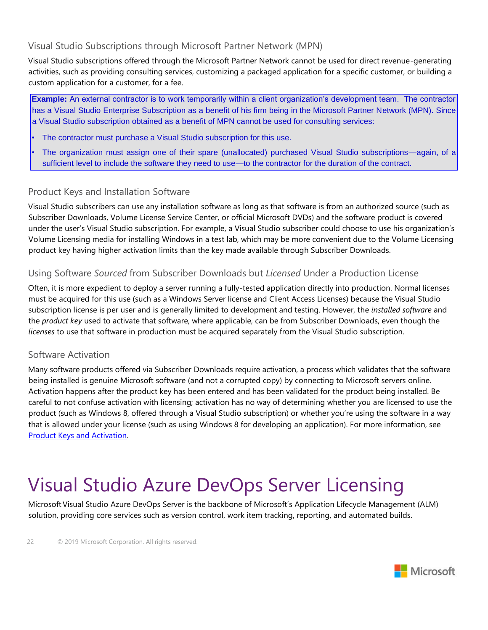### <span id="page-21-0"></span>Visual Studio Subscriptions through Microsoft Partner Network (MPN)

Visual Studio subscriptions offered through the Microsoft Partner Network cannot be used for direct revenue-generating activities, such as providing consulting services, customizing a packaged application for a specific customer, or building a custom application for a customer, for a fee.

**Example:** An external contractor is to work temporarily within a client organization's development team. The contractor has a Visual Studio Enterprise Subscription as a benefit of his firm being in the Microsoft Partner Network (MPN). Since a Visual Studio subscription obtained as a benefit of MPN cannot be used for consulting services:

- The contractor must purchase a Visual Studio subscription for this use.
- The organization must assign one of their spare (unallocated) purchased Visual Studio subscriptions—again, of a sufficient level to include the software they need to use—to the contractor for the duration of the contract.

#### <span id="page-21-1"></span>Product Keys and Installation Software

Visual Studio subscribers can use any installation software as long as that software is from an authorized source (such as Subscriber Downloads, Volume License Service Center, or official Microsoft DVDs) and the software product is covered under the user's Visual Studio subscription. For example, a Visual Studio subscriber could choose to use his organization's Volume Licensing media for installing Windows in a test lab, which may be more convenient due to the Volume Licensing product key having higher activation limits than the key made available through Subscriber Downloads.

#### <span id="page-21-2"></span>Using Software *Sourced* from Subscriber Downloads but *Licensed* Under a Production License

Often, it is more expedient to deploy a server running a fully-tested application directly into production. Normal licenses must be acquired for this use (such as a Windows Server license and Client Access Licenses) because the Visual Studio subscription license is per user and is generally limited to development and testing. However, the *installed software* and the *product key* used to activate that software, where applicable, can be from Subscriber Downloads, even though the *licenses* to use that software in production must be acquired separately from the Visual Studio subscription.

#### <span id="page-21-3"></span>Software Activation

Many software products offered via Subscriber Downloads require activation, a process which validates that the software being installed is genuine Microsoft software (and not a corrupted copy) by connecting to Microsoft servers online. Activation happens after the product key has been entered and has been validated for the product being installed. Be careful to not confuse activation with licensing; activation has no way of determining whether you are licensed to use the product (such as Windows 8, offered through a Visual Studio subscription) or whether you're using the software in a way that is allowed under your license (such as using Windows 8 for developing an application). For more information, see [Product Keys and Activation.](http://msdn.microsoft.com/subscriptions/cc137104.aspx) 

# <span id="page-21-4"></span>Visual Studio Azure DevOps Server Licensing

MicrosoftVisual Studio Azure DevOps Server is the backbone of Microsoft's Application Lifecycle Management (ALM) solution, providing core services such as version control, work item tracking, reporting, and automated builds.

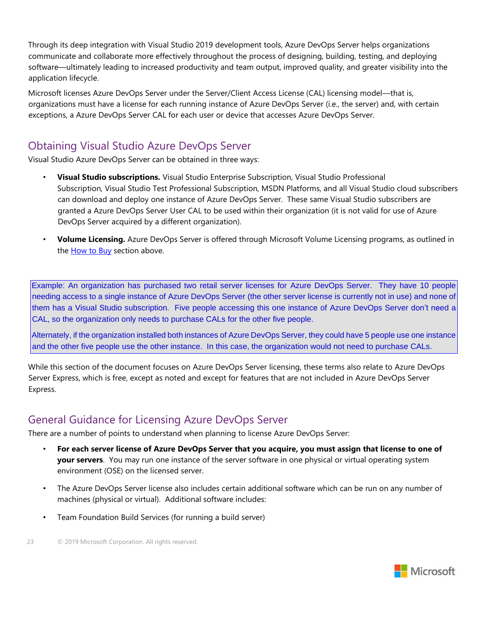Through its deep integration with Visual Studio 2019 development tools, Azure DevOps Server helps organizations communicate and collaborate more effectively throughout the process of designing, building, testing, and deploying software—ultimately leading to increased productivity and team output, improved quality, and greater visibility into the application lifecycle.

Microsoft licenses Azure DevOps Server under the Server/Client Access License (CAL) licensing model—that is, organizations must have a license for each running instance of Azure DevOps Server (i.e., the server) and, with certain exceptions, a Azure DevOps Server CAL for each user or device that accesses Azure DevOps Server.

# <span id="page-22-0"></span>Obtaining Visual Studio Azure DevOps Server

Visual Studio Azure DevOps Server can be obtained in three ways:

- **Visual Studio subscriptions.** Visual Studio Enterprise Subscription, Visual Studio Professional Subscription, Visual Studio Test Professional Subscription, MSDN Platforms, and all Visual Studio cloud subscribers can download and deploy one instance of Azure DevOps Server. These same Visual Studio subscribers are granted a Azure DevOps Server User CAL to be used within their organization (it is not valid for use of Azure DevOps Server acquired by a different organization).
- **Volume Licensing.** Azure DevOps Server is offered through Microsoft Volume Licensing programs, as outlined in the **How to Buy** section above.

Example: An organization has purchased two retail server licenses for Azure DevOps Server. They have 10 people needing access to a single instance of Azure DevOps Server (the other server license is currently not in use) and none of them has a Visual Studio subscription. Five people accessing this one instance of Azure DevOps Server don't need a CAL, so the organization only needs to purchase CALs for the other five people.

Alternately, if the organization installed both instances of Azure DevOps Server, they could have 5 people use one instance and the other five people use the other instance. In this case, the organization would not need to purchase CALs.

While this section of the document focuses on Azure DevOps Server licensing, these terms also relate to Azure DevOps Server Express, which is free, except as noted and except for features that are not included in Azure DevOps Server Express.

## <span id="page-22-1"></span>General Guidance for Licensing Azure DevOps Server

There are a number of points to understand when planning to license Azure DevOps Server:

- **For each server license of Azure DevOps Server that you acquire, you must assign that license to one of your servers**. You may run one instance of the server software in one physical or virtual operating system environment (OSE) on the licensed server.
- The Azure DevOps Server license also includes certain additional software which can be run on any number of machines (physical or virtual). Additional software includes:
- Team Foundation Build Services (for running a build server)

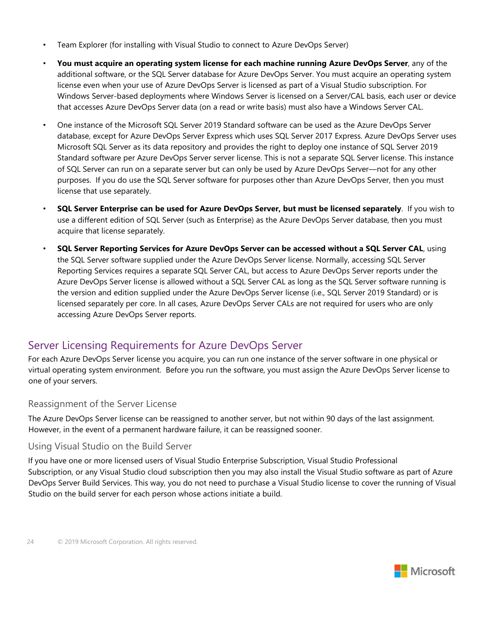- Team Explorer (for installing with Visual Studio to connect to Azure DevOps Server)
- **You must acquire an operating system license for each machine running Azure DevOps Server**, any of the additional software, or the SQL Server database for Azure DevOps Server. You must acquire an operating system license even when your use of Azure DevOps Server is licensed as part of a Visual Studio subscription. For Windows Server-based deployments where Windows Server is licensed on a Server/CAL basis, each user or device that accesses Azure DevOps Server data (on a read or write basis) must also have a Windows Server CAL.
- One instance of the Microsoft SQL Server 2019 Standard software can be used as the Azure DevOps Server database, except for Azure DevOps Server Express which uses SQL Server 2017 Express. Azure DevOps Server uses Microsoft SQL Server as its data repository and provides the right to deploy one instance of SQL Server 2019 Standard software per Azure DevOps Server server license. This is not a separate SQL Server license. This instance of SQL Server can run on a separate server but can only be used by Azure DevOps Server—not for any other purposes. If you do use the SQL Server software for purposes other than Azure DevOps Server, then you must license that use separately.
- **SQL Server Enterprise can be used for Azure DevOps Server, but must be licensed separately**. If you wish to use a different edition of SQL Server (such as Enterprise) as the Azure DevOps Server database, then you must acquire that license separately.
- **SQL Server Reporting Services for Azure DevOps Server can be accessed without a SQL Server CAL**, using the SQL Server software supplied under the Azure DevOps Server license. Normally, accessing SQL Server Reporting Services requires a separate SQL Server CAL, but access to Azure DevOps Server reports under the Azure DevOps Server license is allowed without a SQL Server CAL as long as the SQL Server software running is the version and edition supplied under the Azure DevOps Server license (i.e., SQL Server 2019 Standard) or is licensed separately per core. In all cases, Azure DevOps Server CALs are not required for users who are only accessing Azure DevOps Server reports.

## <span id="page-23-0"></span>Server Licensing Requirements for Azure DevOps Server

For each Azure DevOps Server license you acquire, you can run one instance of the server software in one physical or virtual operating system environment. Before you run the software, you must assign the Azure DevOps Server license to one of your servers.

#### <span id="page-23-1"></span>Reassignment of the Server License

The Azure DevOps Server license can be reassigned to another server, but not within 90 days of the last assignment. However, in the event of a permanent hardware failure, it can be reassigned sooner.

#### <span id="page-23-2"></span>Using Visual Studio on the Build Server

If you have one or more licensed users of Visual Studio Enterprise Subscription, Visual Studio Professional Subscription, or any Visual Studio cloud subscription then you may also install the Visual Studio software as part of Azure DevOps Server Build Services. This way, you do not need to purchase a Visual Studio license to cover the running of Visual Studio on the build server for each person whose actions initiate a build.

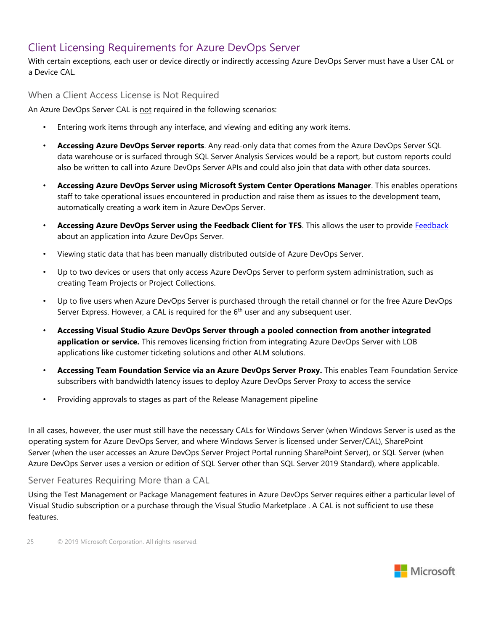## <span id="page-24-0"></span>Client Licensing Requirements for Azure DevOps Server

With certain exceptions, each user or device directly or indirectly accessing Azure DevOps Server must have a User CAL or a Device CAL.

<span id="page-24-1"></span>When a Client Access License is Not Required

An Azure DevOps Server CAL is not required in the following scenarios:

- Entering work items through any interface, and viewing and editing any work items.
- **Accessing Azure DevOps Server reports**. Any read-only data that comes from the Azure DevOps Server SQL data warehouse or is surfaced through SQL Server Analysis Services would be a report, but custom reports could also be written to call into Azure DevOps Server APIs and could also join that data with other data sources.
- **Accessing Azure DevOps Server using Microsoft System Center Operations Manager**. This enables operations staff to take operational issues encountered in production and raise them as issues to the development team, automatically creating a work item in Azure DevOps Server.
- **Accessing Azure DevOps Server using the Feedback Client for TFS**. This allows the user to provide Feedback about an application into Azure DevOps Server.
- Viewing static data that has been manually distributed outside of Azure DevOps Server.
- Up to two devices or users that only access Azure DevOps Server to perform system administration, such as creating Team Projects or Project Collections.
- Up to five users when Azure DevOps Server is purchased through the retail channel or for the free Azure DevOps Server Express. However, a CAL is required for the 6<sup>th</sup> user and any subsequent user.
- **Accessing Visual Studio Azure DevOps Server through a pooled connection from another integrated application or service.** This removes licensing friction from integrating Azure DevOps Server with LOB applications like customer ticketing solutions and other ALM solutions.
- **Accessing Team Foundation Service via an Azure DevOps Server Proxy.** This enables Team Foundation Service subscribers with bandwidth latency issues to deploy Azure DevOps Server Proxy to access the service
- Providing approvals to stages as part of the Release Management pipeline

In all cases, however, the user must still have the necessary CALs for Windows Server (when Windows Server is used as the operating system for Azure DevOps Server, and where Windows Server is licensed under Server/CAL), SharePoint Server (when the user accesses an Azure DevOps Server Project Portal running SharePoint Server), or SQL Server (when Azure DevOps Server uses a version or edition of SQL Server other than SQL Server 2019 Standard), where applicable.

#### <span id="page-24-2"></span>Server Features Requiring More than a CAL

Using the Test Management or Package Management features in Azure DevOps Server requires either a particular level of Visual Studio subscription or a purchase through the Visual Studio Marketplace . A CAL is not sufficient to use these features.

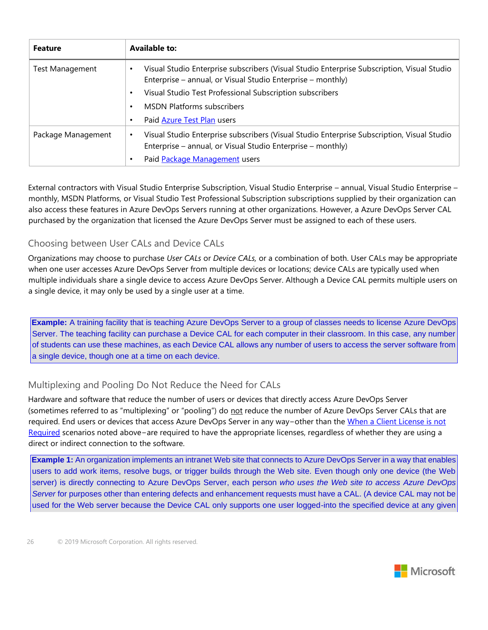| <b>Feature</b>         | <b>Available to:</b>                                                                                                                                                   |
|------------------------|------------------------------------------------------------------------------------------------------------------------------------------------------------------------|
| <b>Test Management</b> | Visual Studio Enterprise subscribers (Visual Studio Enterprise Subscription, Visual Studio<br>Enterprise – annual, or Visual Studio Enterprise – monthly)              |
|                        | Visual Studio Test Professional Subscription subscribers<br>$\bullet$                                                                                                  |
|                        | <b>MSDN Platforms subscribers</b>                                                                                                                                      |
|                        | Paid Azure Test Plan users                                                                                                                                             |
| Package Management     | Visual Studio Enterprise subscribers (Visual Studio Enterprise Subscription, Visual Studio<br>$\bullet$<br>Enterprise – annual, or Visual Studio Enterprise – monthly) |
|                        | Paid Package Management users                                                                                                                                          |

External contractors with Visual Studio Enterprise Subscription, Visual Studio Enterprise – annual, Visual Studio Enterprise – monthly, MSDN Platforms, or Visual Studio Test Professional Subscription subscriptions supplied by their organization can also access these features in Azure DevOps Servers running at other organizations. However, a Azure DevOps Server CAL purchased by the organization that licensed the Azure DevOps Server must be assigned to each of these users.

#### <span id="page-25-0"></span>Choosing between User CALs and Device CALs

Organizations may choose to purchase *User CALs* or *Device CALs,* or a combination of both. User CALs may be appropriate when one user accesses Azure DevOps Server from multiple devices or locations; device CALs are typically used when multiple individuals share a single device to access Azure DevOps Server. Although a Device CAL permits multiple users on a single device, it may only be used by a single user at a time.

**Example:** A training facility that is teaching Azure DevOps Server to a group of classes needs to license Azure DevOps Server. The teaching facility can purchase a Device CAL for each computer in their classroom. In this case, any number of students can use these machines, as each Device CAL allows any number of users to access the server software from a single device, though one at a time on each device.

#### <span id="page-25-1"></span>Multiplexing and Pooling Do Not Reduce the Need for CALs

Hardware and software that reduce the number of users or devices that directly access Azure DevOps Server (sometimes referred to as "multiplexing" or "pooling") do not reduce the number of Azure DevOps Server CALs that are required. End users or devices that access Azure DevOps Server in any way−other than the When a Client License is not Required scenarios noted above−are required to have the appropriate licenses, regardless of whether they are using a direct or indirect connection to the software.

**Example 1:** An organization implements an intranet Web site that connects to Azure DevOps Server in a way that enables users to add work items, resolve bugs, or trigger builds through the Web site. Even though only one device (the Web server) is directly connecting to Azure DevOps Server, each person *who uses the Web site to access Azure DevOps Server* for purposes other than entering defects and enhancement requests must have a CAL. (A device CAL may not be used for the Web server because the Device CAL only supports one user logged-into the specified device at any given

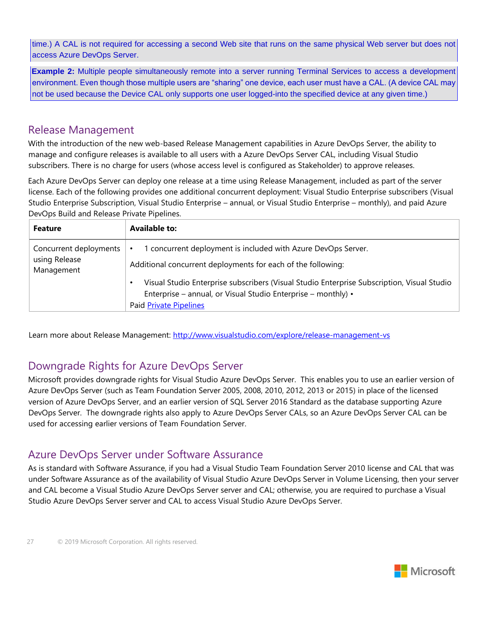time.) A CAL is not required for accessing a second Web site that runs on the same physical Web server but does not access Azure DevOps Server.

**Example 2:** Multiple people simultaneously remote into a server running Terminal Services to access a development environment. Even though those multiple users are "sharing" one device, each user must have a CAL. (A device CAL may not be used because the Device CAL only supports one user logged-into the specified device at any given time.)

## <span id="page-26-0"></span>Release Management

With the introduction of the new web-based Release Management capabilities in Azure DevOps Server, the ability to manage and configure releases is available to all users with a Azure DevOps Server CAL, including Visual Studio subscribers. There is no charge for users (whose access level is configured as Stakeholder) to approve releases.

Each Azure DevOps Server can deploy one release at a time using Release Management, included as part of the server license. Each of the following provides one additional concurrent deployment: Visual Studio Enterprise subscribers (Visual Studio Enterprise Subscription, Visual Studio Enterprise – annual, or Visual Studio Enterprise – monthly), and paid Azure DevOps Build and Release Private Pipelines.

| <b>Feature</b>                                        | <b>Available to:</b>                                                                                                                                                                                                                                                                                                      |
|-------------------------------------------------------|---------------------------------------------------------------------------------------------------------------------------------------------------------------------------------------------------------------------------------------------------------------------------------------------------------------------------|
| Concurrent deployments<br>using Release<br>Management | concurrent deployment is included with Azure DevOps Server.<br>Additional concurrent deployments for each of the following:<br>Visual Studio Enterprise subscribers (Visual Studio Enterprise Subscription, Visual Studio<br>٠<br>Enterprise – annual, or Visual Studio Enterprise – monthly) •<br>Paid Private Pipelines |

Learn more about Release Management:<http://www.visualstudio.com/explore/release-management-vs>

## <span id="page-26-1"></span>Downgrade Rights for Azure DevOps Server

Microsoft provides downgrade rights for Visual Studio Azure DevOps Server. This enables you to use an earlier version of Azure DevOps Server (such as Team Foundation Server 2005, 2008, 2010, 2012, 2013 or 2015) in place of the licensed version of Azure DevOps Server, and an earlier version of SQL Server 2016 Standard as the database supporting Azure DevOps Server. The downgrade rights also apply to Azure DevOps Server CALs, so an Azure DevOps Server CAL can be used for accessing earlier versions of Team Foundation Server.

## <span id="page-26-2"></span>Azure DevOps Server under Software Assurance

As is standard with Software Assurance, if you had a Visual Studio Team Foundation Server 2010 license and CAL that was under Software Assurance as of the availability of Visual Studio Azure DevOps Server in Volume Licensing, then your server and CAL become a Visual Studio Azure DevOps Server server and CAL; otherwise, you are required to purchase a Visual Studio Azure DevOps Server server and CAL to access Visual Studio Azure DevOps Server.

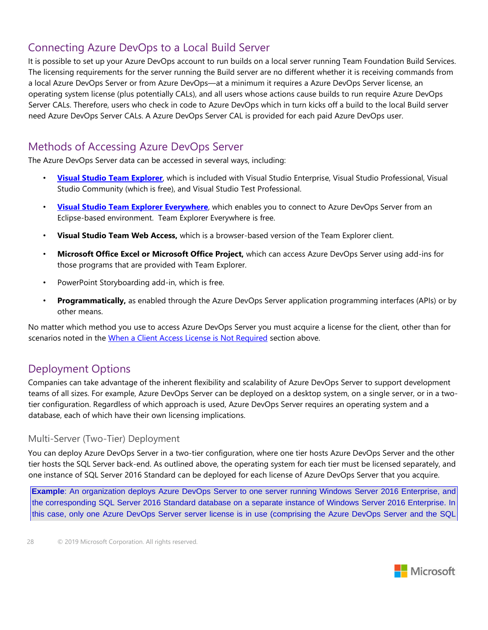# <span id="page-27-0"></span>Connecting Azure DevOps to a Local Build Server

It is possible to set up your Azure DevOps account to run builds on a local server running Team Foundation Build Services. The licensing requirements for the server running the Build server are no different whether it is receiving commands from a local Azure DevOps Server or from Azure DevOps—at a minimum it requires a Azure DevOps Server license, an operating system license (plus potentially CALs), and all users whose actions cause builds to run require Azure DevOps Server CALs. Therefore, users who check in code to Azure DevOps which in turn kicks off a build to the local Build server need Azure DevOps Server CALs. A Azure DevOps Server CAL is provided for each paid Azure DevOps user.

## <span id="page-27-1"></span>Methods of Accessing Azure DevOps Server

The Azure DevOps Server data can be accessed in several ways, including:

- **[Visual Studio Team Explorer](http://go.microsoft.com/fwlink/?linkid=264730)**[, w](http://go.microsoft.com/fwlink/?linkid=264730)hich is included with Visual Studio Enterprise, Visual Studio Professional, Visual Studio Community (which is free), and Visual Studio Test Professional.
- **[Visual Studio Team Explorer Everywhere](http://go.microsoft.com/fwlink/?linkid=264731)**[, w](http://go.microsoft.com/fwlink/?linkid=264731)hich enables you to connect to Azure DevOps Server from an Eclipse-based environment. Team Explorer Everywhere is free.
- **Visual Studio Team Web Access,** which is a browser-based version of the Team Explorer client.
- **Microsoft Office Excel or Microsoft Office Project,** which can access Azure DevOps Server using add-ins for those programs that are provided with Team Explorer.
- PowerPoint Storyboarding add-in, which is free.
- **Programmatically,** as enabled through the Azure DevOps Server application programming interfaces (APIs) or by other means.

No matter which method you use to access Azure DevOps Server you must acquire a license for the client, other than for scenarios noted in the When a Client Access License is Not Required section above.

## <span id="page-27-2"></span>Deployment Options

Companies can take advantage of the inherent flexibility and scalability of Azure DevOps Server to support development teams of all sizes. For example, Azure DevOps Server can be deployed on a desktop system, on a single server, or in a twotier configuration. Regardless of which approach is used, Azure DevOps Server requires an operating system and a database, each of which have their own licensing implications.

#### <span id="page-27-3"></span>Multi-Server (Two-Tier) Deployment

You can deploy Azure DevOps Server in a two-tier configuration, where one tier hosts Azure DevOps Server and the other tier hosts the SQL Server back-end. As outlined above, the operating system for each tier must be licensed separately, and one instance of SQL Server 2016 Standard can be deployed for each license of Azure DevOps Server that you acquire.

**Example**: An organization deploys Azure DevOps Server to one server running Windows Server 2016 Enterprise, and the corresponding SQL Server 2016 Standard database on a separate instance of Windows Server 2016 Enterprise. In this case, only one Azure DevOps Server server license is in use (comprising the Azure DevOps Server and the SQL

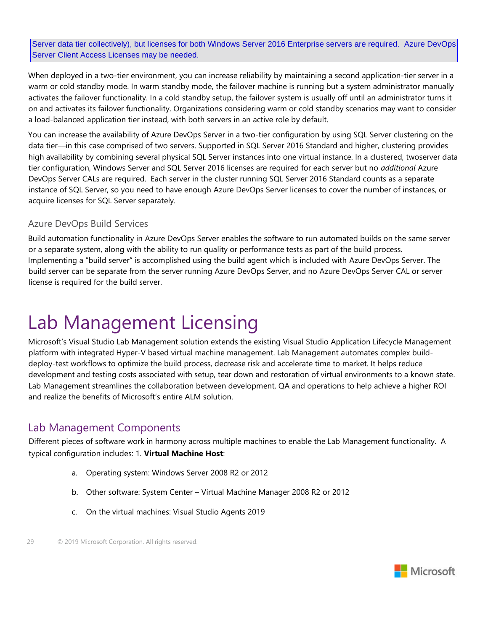Server data tier collectively), but licenses for both Windows Server 2016 Enterprise servers are required. Azure DevOps Server Client Access Licenses may be needed.

When deployed in a two-tier environment, you can increase reliability by maintaining a second application-tier server in a warm or cold standby mode. In warm standby mode, the failover machine is running but a system administrator manually activates the failover functionality. In a cold standby setup, the failover system is usually off until an administrator turns it on and activates its failover functionality. Organizations considering warm or cold standby scenarios may want to consider a load-balanced application tier instead, with both servers in an active role by default.

You can increase the availability of Azure DevOps Server in a two-tier configuration by using SQL Server clustering on the data tier—in this case comprised of two servers. Supported in SQL Server 2016 Standard and higher, clustering provides high availability by combining several physical SQL Server instances into one virtual instance. In a clustered, twoserver data tier configuration, Windows Server and SQL Server 2016 licenses are required for each server but no *additional* Azure DevOps Server CALs are required. Each server in the cluster running SQL Server 2016 Standard counts as a separate instance of SQL Server, so you need to have enough Azure DevOps Server licenses to cover the number of instances, or acquire licenses for SQL Server separately.

#### <span id="page-28-0"></span>Azure DevOps Build Services

Build automation functionality in Azure DevOps Server enables the software to run automated builds on the same server or a separate system, along with the ability to run quality or performance tests as part of the build process. Implementing a "build server" is accomplished using the build agent which is included with Azure DevOps Server. The build server can be separate from the server running Azure DevOps Server, and no Azure DevOps Server CAL or server license is required for the build server.

# <span id="page-28-1"></span>Lab Management Licensing

Microsoft's Visual Studio Lab Management solution extends the existing Visual Studio Application Lifecycle Management platform with integrated Hyper-V based virtual machine management. Lab Management automates complex builddeploy-test workflows to optimize the build process, decrease risk and accelerate time to market. It helps reduce development and testing costs associated with setup, tear down and restoration of virtual environments to a known state. Lab Management streamlines the collaboration between development, QA and operations to help achieve a higher ROI and realize the benefits of Microsoft's entire ALM solution.

## <span id="page-28-2"></span>Lab Management Components

Different pieces of software work in harmony across multiple machines to enable the Lab Management functionality. A typical configuration includes: 1. **Virtual Machine Host**:

- a. Operating system: Windows Server 2008 R2 or 2012
- b. Other software: System Center Virtual Machine Manager 2008 R2 or 2012
- c. On the virtual machines: Visual Studio Agents 2019

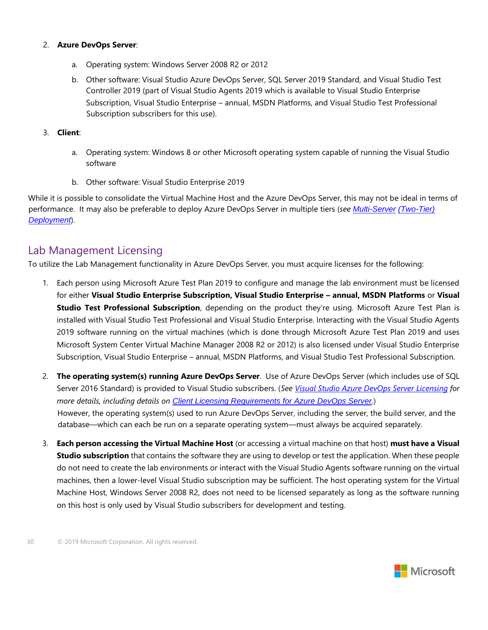#### 2. **Azure DevOps Server**:

- a. Operating system: Windows Server 2008 R2 or 2012
- b. Other software: Visual Studio Azure DevOps Server, SQL Server 2019 Standard, and Visual Studio Test Controller 2019 (part of Visual Studio Agents 2019 which is available to Visual Studio Enterprise Subscription, Visual Studio Enterprise – annual, MSDN Platforms, and Visual Studio Test Professional Subscription subscribers for this use).

#### 3. **Client**:

- a. Operating system: Windows 8 or other Microsoft operating system capable of running the Visual Studio software
- b. Other software: Visual Studio Enterprise 2019

While it is possible to consolidate the Virtual Machine Host and the Azure DevOps Server, this may not be ideal in terms of performance. It may also be preferable to deploy Azure DevOps Server in multiple tiers (*see Multi-Server (Two-Tier) Deployment*).

## <span id="page-29-0"></span>Lab Management Licensing

To utilize the Lab Management functionality in Azure DevOps Server, you must acquire licenses for the following:

- 1. Each person using Microsoft Azure Test Plan 2019 to configure and manage the lab environment must be licensed for either **Visual Studio Enterprise Subscription, Visual Studio Enterprise – annual, MSDN Platforms** or **Visual Studio Test Professional Subscription**, depending on the product they're using. Microsoft Azure Test Plan is installed with Visual Studio Test Professional and Visual Studio Enterprise. Interacting with the Visual Studio Agents 2019 software running on the virtual machines (which is done through Microsoft Azure Test Plan 2019 and uses Microsoft System Center Virtual Machine Manager 2008 R2 or 2012) is also licensed under Visual Studio Enterprise Subscription, Visual Studio Enterprise – annual, MSDN Platforms, and Visual Studio Test Professional Subscription.
- 2. **The operating system(s) running Azure DevOps Server**. Use of Azure DevOps Server (which includes use of SQL Server 2016 Standard) is provided to Visual Studio subscribers. (*See Visual Studio Azure DevOps Server Licensing for more details, including details on Client Licensing Requirements for Azure DevOps Server.*) However, the operating system(s) used to run Azure DevOps Server, including the server, the build server, and the database—which can each be run on a separate operating system—must always be acquired separately.
- 3. **Each person accessing the Virtual Machine Host** (or accessing a virtual machine on that host) **must have a Visual Studio subscription** that contains the software they are using to develop or test the application. When these people do not need to create the lab environments or interact with the Visual Studio Agents software running on the virtual machines, then a lower-level Visual Studio subscription may be sufficient. The host operating system for the Virtual Machine Host, Windows Server 2008 R2, does not need to be licensed separately as long as the software running on this host is only used by Visual Studio subscribers for development and testing.

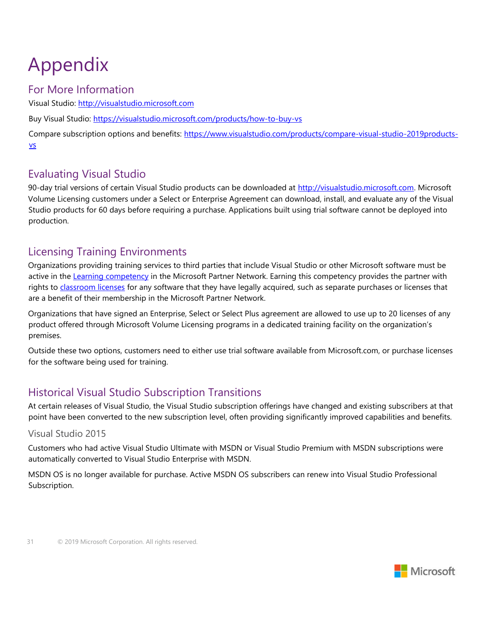# <span id="page-30-0"></span>Appendix

## <span id="page-30-1"></span>For More Information

Visual Studio: [http://visualstudio.microsoft.com](http://visualstudio.microsoft.com/)

Buy Visual Studio:<https://visualstudio.microsoft.com/products/how-to-buy-vs>

Compare subscription options and benefits: [https://www.visualstudio.com/products/compare-visual-studio-2019](https://visualstudio.microsoft.com/products/compare-visual-studio-2015-products-vs)[products](https://www.visualstudio.com/products/compare-visual-studio-2015-products-vs)[vs](https://www.visualstudio.com/products/compare-visual-studio-2015-products-vs)

# <span id="page-30-2"></span>Evaluating Visual Studio

90-day trial versions of certain Visual Studio products can be downloaded at [http://visualstudio.microsoft.com.](http://visualstudio.microsoft.com/) [M](http://www.visualstudio.com/)icrosoft Volume Licensing customers under a Select or Enterprise Agreement can download, install, and evaluate any of the Visual Studio products for 60 days before requiring a purchase. Applications built using trial software cannot be deployed into production.

# <span id="page-30-3"></span>Licensing Training Environments

Organizations providing training services to third parties that include Visual Studio or other Microsoft software must be active in the [Learning competency](https://partner.microsoft.com/global/40124636) [in](https://partner.microsoft.com/global/40124636) the Microsoft Partner Network. Earning this competency provides the partner with rights to [classroom licenses](https://partner.microsoft.com/global/40120298) for any software that they have legally acquired, such as separate purchases or licenses that are a benefit of their membership in the Microsoft Partner Network.

Organizations that have signed an Enterprise, Select or Select Plus agreement are allowed to use up to 20 licenses of any product offered through Microsoft Volume Licensing programs in a dedicated training facility on the organization's premises.

Outside these two options, customers need to either use trial software available from Microsoft.com, or purchase licenses for the software being used for training.

# <span id="page-30-4"></span>Historical Visual Studio Subscription Transitions

At certain releases of Visual Studio, the Visual Studio subscription offerings have changed and existing subscribers at that point have been converted to the new subscription level, often providing significantly improved capabilities and benefits.

#### <span id="page-30-5"></span>Visual Studio 2015

Customers who had active Visual Studio Ultimate with MSDN or Visual Studio Premium with MSDN subscriptions were automatically converted to Visual Studio Enterprise with MSDN.

MSDN OS is no longer available for purchase. Active MSDN OS subscribers can renew into Visual Studio Professional Subscription.

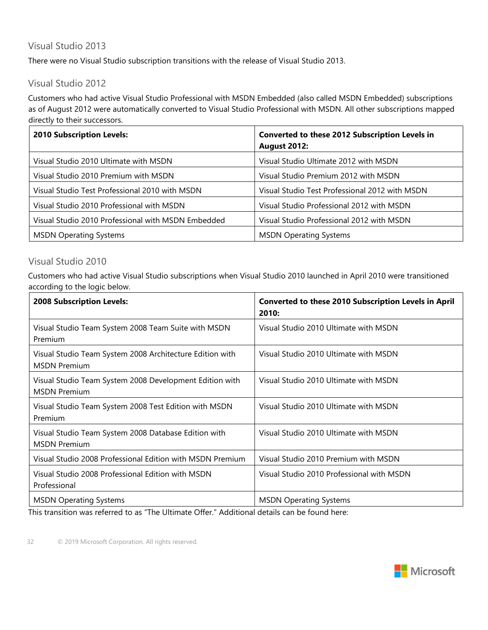## <span id="page-31-0"></span>Visual Studio 2013

There were no Visual Studio subscription transitions with the release of Visual Studio 2013.

### <span id="page-31-1"></span>Visual Studio 2012

Customers who had active Visual Studio Professional with MSDN Embedded (also called MSDN Embedded) subscriptions as of August 2012 were automatically converted to Visual Studio Professional with MSDN. All other subscriptions mapped directly to their successors.

| <b>2010 Subscription Levels:</b>                   | Converted to these 2012 Subscription Levels in<br><b>August 2012:</b> |
|----------------------------------------------------|-----------------------------------------------------------------------|
| Visual Studio 2010 Ultimate with MSDN              | Visual Studio Ultimate 2012 with MSDN                                 |
| Visual Studio 2010 Premium with MSDN               | Visual Studio Premium 2012 with MSDN                                  |
| Visual Studio Test Professional 2010 with MSDN     | Visual Studio Test Professional 2012 with MSDN                        |
| Visual Studio 2010 Professional with MSDN          | Visual Studio Professional 2012 with MSDN                             |
| Visual Studio 2010 Professional with MSDN Embedded | Visual Studio Professional 2012 with MSDN                             |
| <b>MSDN Operating Systems</b>                      | <b>MSDN Operating Systems</b>                                         |

#### <span id="page-31-2"></span>Visual Studio 2010

Customers who had active Visual Studio subscriptions when Visual Studio 2010 launched in April 2010 were transitioned according to the logic below.

| <b>2008 Subscription Levels:</b>                                                | <b>Converted to these 2010 Subscription Levels in April</b><br>2010: |
|---------------------------------------------------------------------------------|----------------------------------------------------------------------|
| Visual Studio Team System 2008 Team Suite with MSDN<br>Premium                  | Visual Studio 2010 Ultimate with MSDN                                |
| Visual Studio Team System 2008 Architecture Edition with<br><b>MSDN Premium</b> | Visual Studio 2010 Ultimate with MSDN                                |
| Visual Studio Team System 2008 Development Edition with<br><b>MSDN Premium</b>  | Visual Studio 2010 Ultimate with MSDN                                |
| Visual Studio Team System 2008 Test Edition with MSDN<br>Premium                | Visual Studio 2010 Ultimate with MSDN                                |
| Visual Studio Team System 2008 Database Edition with<br><b>MSDN Premium</b>     | Visual Studio 2010 Ultimate with MSDN                                |
| Visual Studio 2008 Professional Edition with MSDN Premium                       | Visual Studio 2010 Premium with MSDN                                 |
| Visual Studio 2008 Professional Edition with MSDN<br>Professional               | Visual Studio 2010 Professional with MSDN                            |
| <b>MSDN Operating Systems</b>                                                   | <b>MSDN Operating Systems</b>                                        |

This transition was referred to as "The Ultimate Offer." Additional details can be found here:

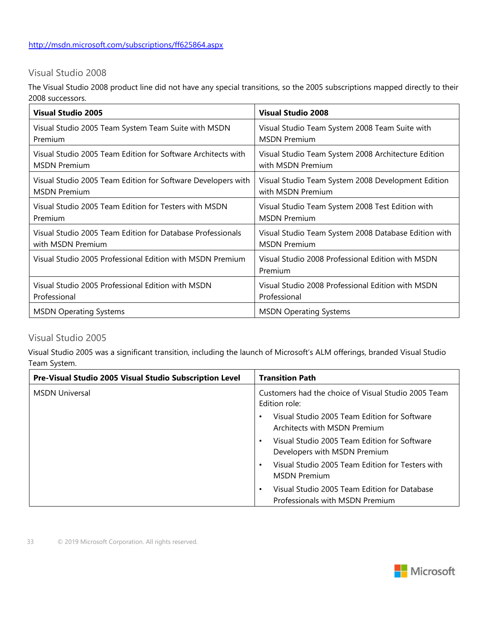### <span id="page-32-0"></span>Visual Studio 2008

The Visual Studio 2008 product line did not have any special transitions, so the 2005 subscriptions mapped directly to their 2008 successors.

| <b>Visual Studio 2005</b>                                    | <b>Visual Studio 2008</b>                                    |
|--------------------------------------------------------------|--------------------------------------------------------------|
| Visual Studio 2005 Team System Team Suite with MSDN          | Visual Studio Team System 2008 Team Suite with               |
| Premium                                                      | <b>MSDN Premium</b>                                          |
| Visual Studio 2005 Team Edition for Software Architects with | Visual Studio Team System 2008 Architecture Edition          |
| <b>MSDN Premium</b>                                          | with MSDN Premium                                            |
| Visual Studio 2005 Team Edition for Software Developers with | Visual Studio Team System 2008 Development Edition           |
| <b>MSDN Premium</b>                                          | with MSDN Premium                                            |
| Visual Studio 2005 Team Edition for Testers with MSDN        | Visual Studio Team System 2008 Test Edition with             |
| Premium                                                      | <b>MSDN Premium</b>                                          |
| Visual Studio 2005 Team Edition for Database Professionals   | Visual Studio Team System 2008 Database Edition with         |
| with MSDN Premium                                            | <b>MSDN Premium</b>                                          |
| Visual Studio 2005 Professional Edition with MSDN Premium    | Visual Studio 2008 Professional Edition with MSDN<br>Premium |
| Visual Studio 2005 Professional Edition with MSDN            | Visual Studio 2008 Professional Edition with MSDN            |
| Professional                                                 | Professional                                                 |
| <b>MSDN Operating Systems</b>                                | <b>MSDN Operating Systems</b>                                |

#### <span id="page-32-1"></span>Visual Studio 2005

Visual Studio 2005 was a significant transition, including the launch of Microsoft's ALM offerings, branded Visual Studio Team System.

| Pre-Visual Studio 2005 Visual Studio Subscription Level | <b>Transition Path</b>                                                               |
|---------------------------------------------------------|--------------------------------------------------------------------------------------|
| <b>MSDN Universal</b>                                   | Customers had the choice of Visual Studio 2005 Team<br>Edition role:                 |
|                                                         | Visual Studio 2005 Team Edition for Software<br>Architects with MSDN Premium         |
|                                                         | Visual Studio 2005 Team Edition for Software<br>Developers with MSDN Premium         |
|                                                         | Visual Studio 2005 Team Edition for Testers with<br>$\bullet$<br><b>MSDN Premium</b> |
|                                                         | Visual Studio 2005 Team Edition for Database<br>Professionals with MSDN Premium      |